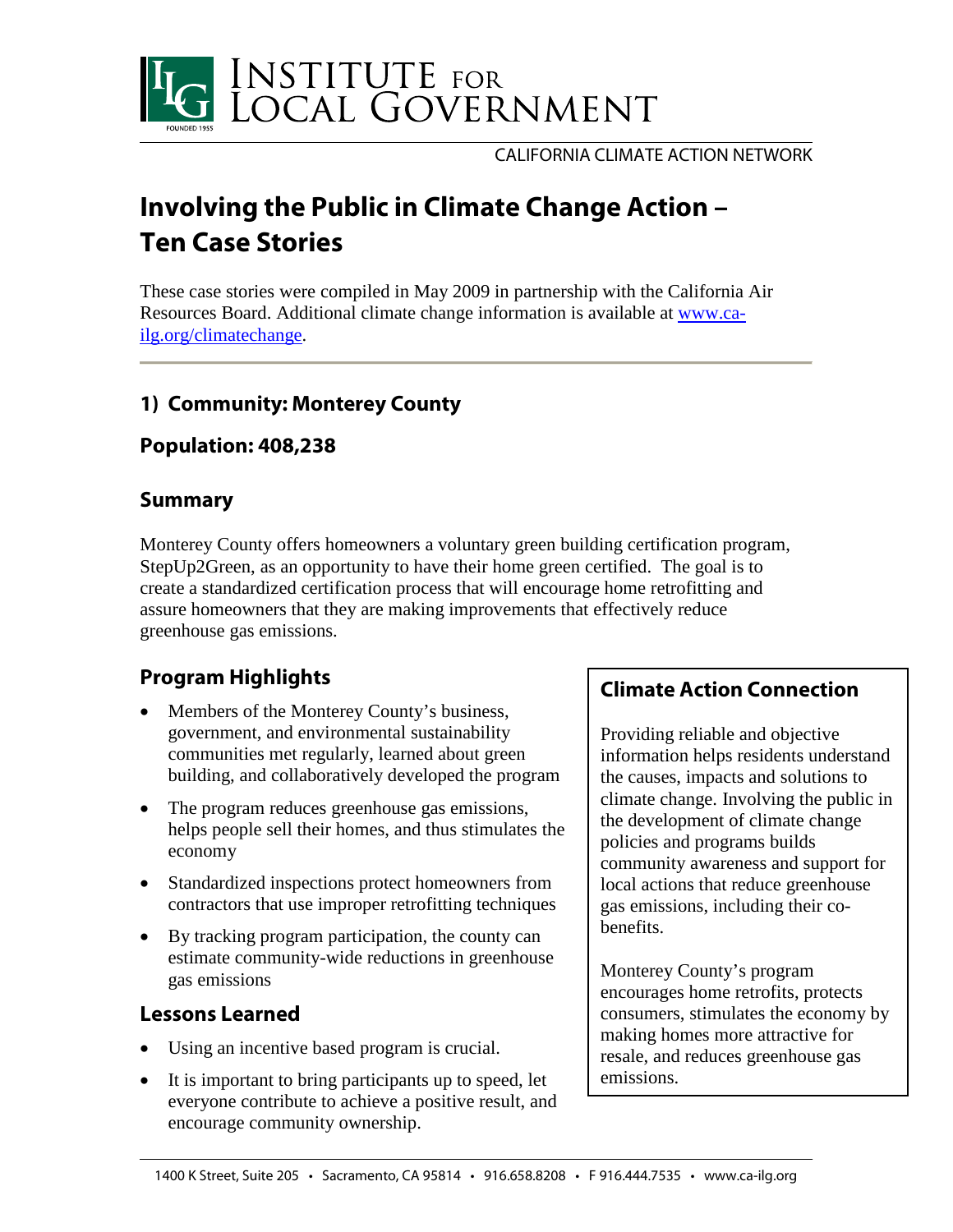

CALIFORNIA CLIMATE ACTION NETWORK

# **Involving the Public in Climate Change Action – Ten Case Stories**

These case stories were compiled in May 2009 in partnership with the California Air Resources Board. Additional climate change information is available at [www.ca](http://www.ca-ilg.org/climatechange)[ilg.org/climatechange.](http://www.ca-ilg.org/climatechange)

# **1) Community: Monterey County**

### **Population: 408,238**

#### **Summary**

Monterey County offers homeowners a voluntary green building certification program, StepUp2Green, as an opportunity to have their home green certified. The goal is to create a standardized certification process that will encourage home retrofitting and assure homeowners that they are making improvements that effectively reduce greenhouse gas emissions.

# **Program Highlights**

- Members of the Monterey County's business, government, and environmental sustainability communities met regularly, learned about green building, and collaboratively developed the program
- The program reduces greenhouse gas emissions, helps people sell their homes, and thus stimulates the economy
- Standardized inspections protect homeowners from contractors that use improper retrofitting techniques
- By tracking program participation, the county can estimate community-wide reductions in greenhouse gas emissions

## **Lessons Learned**

- Using an incentive based program is crucial.
- It is important to bring participants up to speed, let everyone contribute to achieve a positive result, and encourage community ownership.

#### **Climate Action Connection**

Providing reliable and objective information helps residents understand the causes, impacts and solutions to climate change. Involving the public in the development of climate change policies and programs builds community awareness and support for local actions that reduce greenhouse gas emissions, including their cobenefits.

Monterey County's program encourages home retrofits, protects consumers, stimulates the economy by making homes more attractive for resale, and reduces greenhouse gas emissions.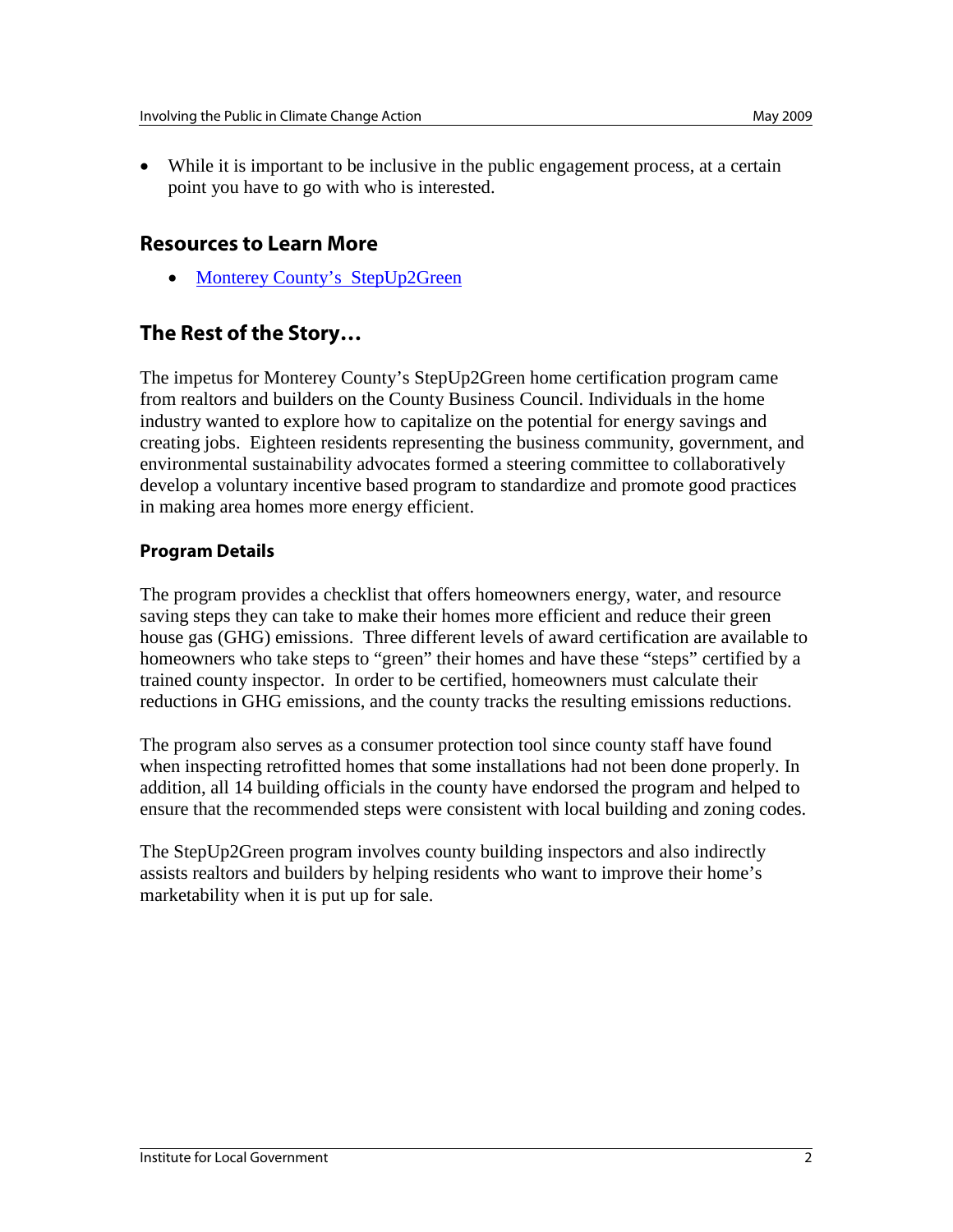• While it is important to be inclusive in the public engagement process, at a certain point you have to go with who is interested.

#### **Resources to Learn More**

• [Monterey County's StepUp2Green](http://www.stepup2green.org/)

### **The Rest of the Story…**

The impetus for Monterey County's StepUp2Green home certification program came from realtors and builders on the County Business Council. Individuals in the home industry wanted to explore how to capitalize on the potential for energy savings and creating jobs. Eighteen residents representing the business community, government, and environmental sustainability advocates formed a steering committee to collaboratively develop a voluntary incentive based program to standardize and promote good practices in making area homes more energy efficient.

#### **Program Details**

The program provides a checklist that offers homeowners energy, water, and resource saving steps they can take to make their homes more efficient and reduce their green house gas (GHG) emissions. Three different levels of award certification are available to homeowners who take steps to "green" their homes and have these "steps" certified by a trained county inspector. In order to be certified, homeowners must calculate their reductions in GHG emissions, and the county tracks the resulting emissions reductions.

The program also serves as a consumer protection tool since county staff have found when inspecting retrofitted homes that some installations had not been done properly. In addition, all 14 building officials in the county have endorsed the program and helped to ensure that the recommended steps were consistent with local building and zoning codes.

The StepUp2Green program involves county building inspectors and also indirectly assists realtors and builders by helping residents who want to improve their home's marketability when it is put up for sale.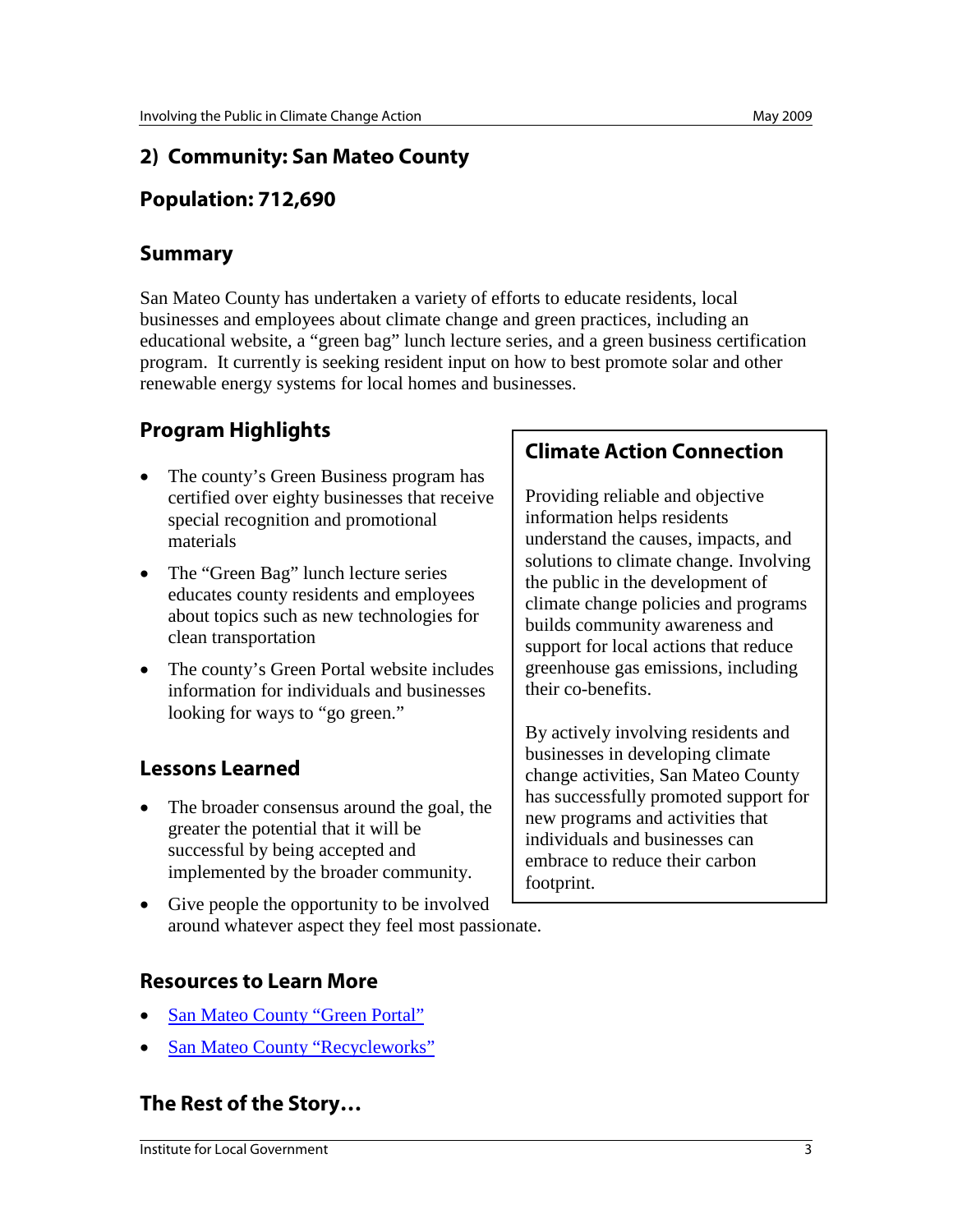## **2) Community: San Mateo County**

## **Population: 712,690**

### **Summary**

San Mateo County has undertaken a variety of efforts to educate residents, local businesses and employees about climate change and green practices, including an educational website, a "green bag" lunch lecture series, and a green business certification program. It currently is seeking resident input on how to best promote solar and other renewable energy systems for local homes and businesses.

# **Program Highlights**

- The county's Green Business program has certified over eighty businesses that receive special recognition and promotional materials
- The "Green Bag" lunch lecture series educates county residents and employees about topics such as new technologies for clean transportation
- The county's Green Portal website includes information for individuals and businesses looking for ways to "go green."

# **Lessons Learned**

- The broader consensus around the goal, the greater the potential that it will be successful by being accepted and implemented by the broader community.
- Give people the opportunity to be involved around whatever aspect they feel most passionate.

## **Resources to Learn More**

- San Mateo County "Green Portal"
- San Mateo County "Recycleworks"

# **The Rest of the Story…**

#### **Institute for Local Government** 3

## **Climate Action Connection**

Providing reliable and objective information helps residents understand the causes, impacts, and solutions to climate change. Involving the public in the development of climate change policies and programs builds community awareness and support for local actions that reduce greenhouse gas emissions, including their co-benefits.

By actively involving residents and businesses in developing climate change activities, San Mateo County has successfully promoted support for new programs and activities that individuals and businesses can embrace to reduce their carbon footprint.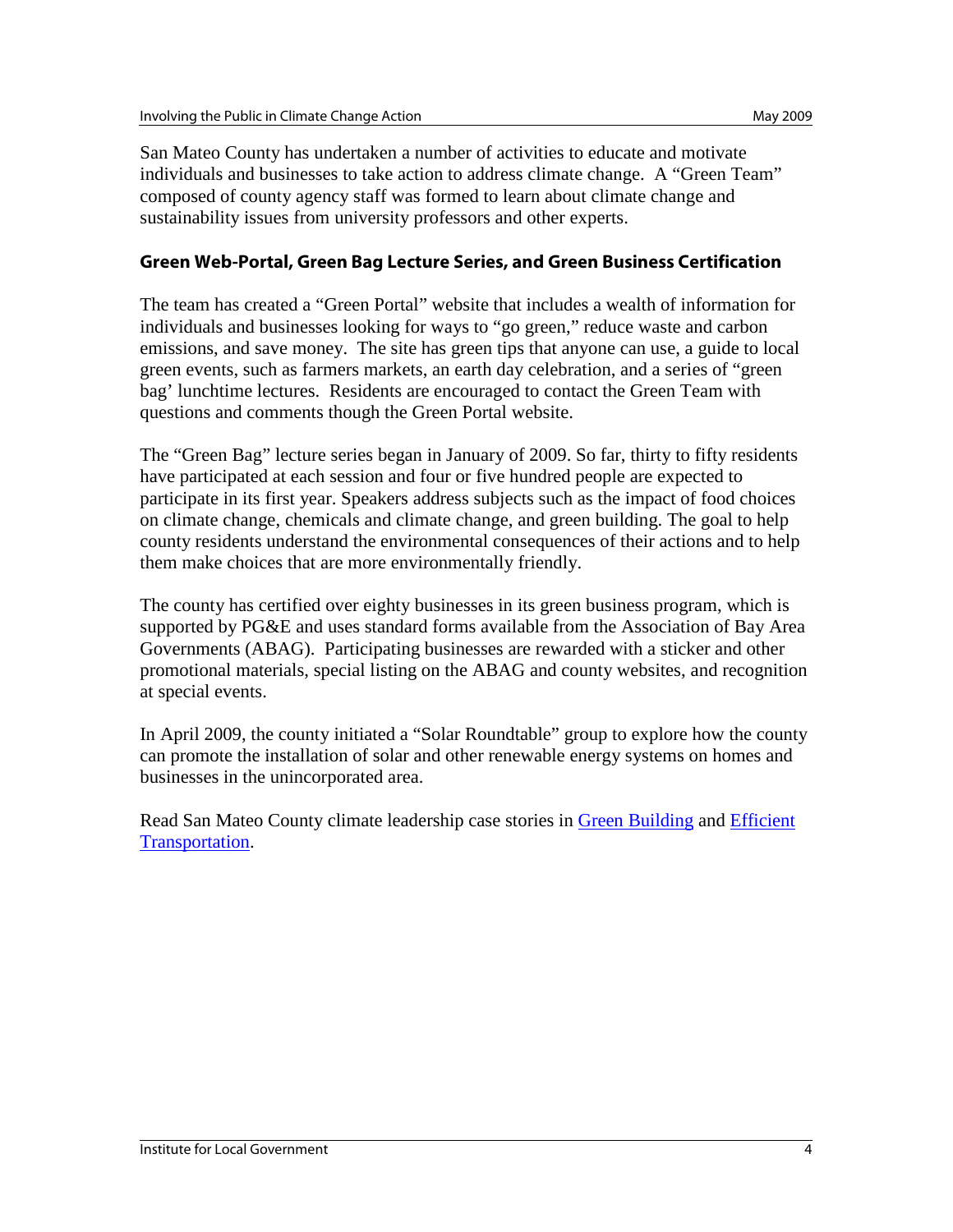San Mateo County has undertaken a number of activities to educate and motivate individuals and businesses to take action to address climate change. A "Green Team" composed of county agency staff was formed to learn about climate change and sustainability issues from university professors and other experts.

#### **Green Web-Portal, Green Bag Lecture Series, and Green Business Certification**

The team has created a "Green Portal" website that includes a wealth of information for individuals and businesses looking for ways to "go green," reduce waste and carbon emissions, and save money. The site has green tips that anyone can use, a guide to local green events, such as farmers markets, an earth day celebration, and a series of "green bag' lunchtime lectures. Residents are encouraged to contact the Green Team with questions and comments though the Green Portal website.

The "Green Bag" lecture series began in January of 2009. So far, thirty to fifty residents have participated at each session and four or five hundred people are expected to participate in its first year. Speakers address subjects such as the impact of food choices on climate change, chemicals and climate change, and green building. The goal to help county residents understand the environmental consequences of their actions and to help them make choices that are more environmentally friendly.

The county has certified over eighty businesses in its green business program, which is supported by PG&E and uses standard forms available from the Association of Bay Area Governments (ABAG). Participating businesses are rewarded with a sticker and other promotional materials, special listing on the ABAG and county websites, and recognition at special events.

In April 2009, the county initiated a "Solar Roundtable" group to explore how the county can promote the installation of solar and other renewable energy systems on homes and businesses in the unincorporated area.

Read San Mateo County climate leadership case stories in [Green Building](http://www.ca-ilg.org/node/1604) and [Efficient](http://www.ca-ilg.org/node/1641)  [Transportation.](http://www.ca-ilg.org/node/1641)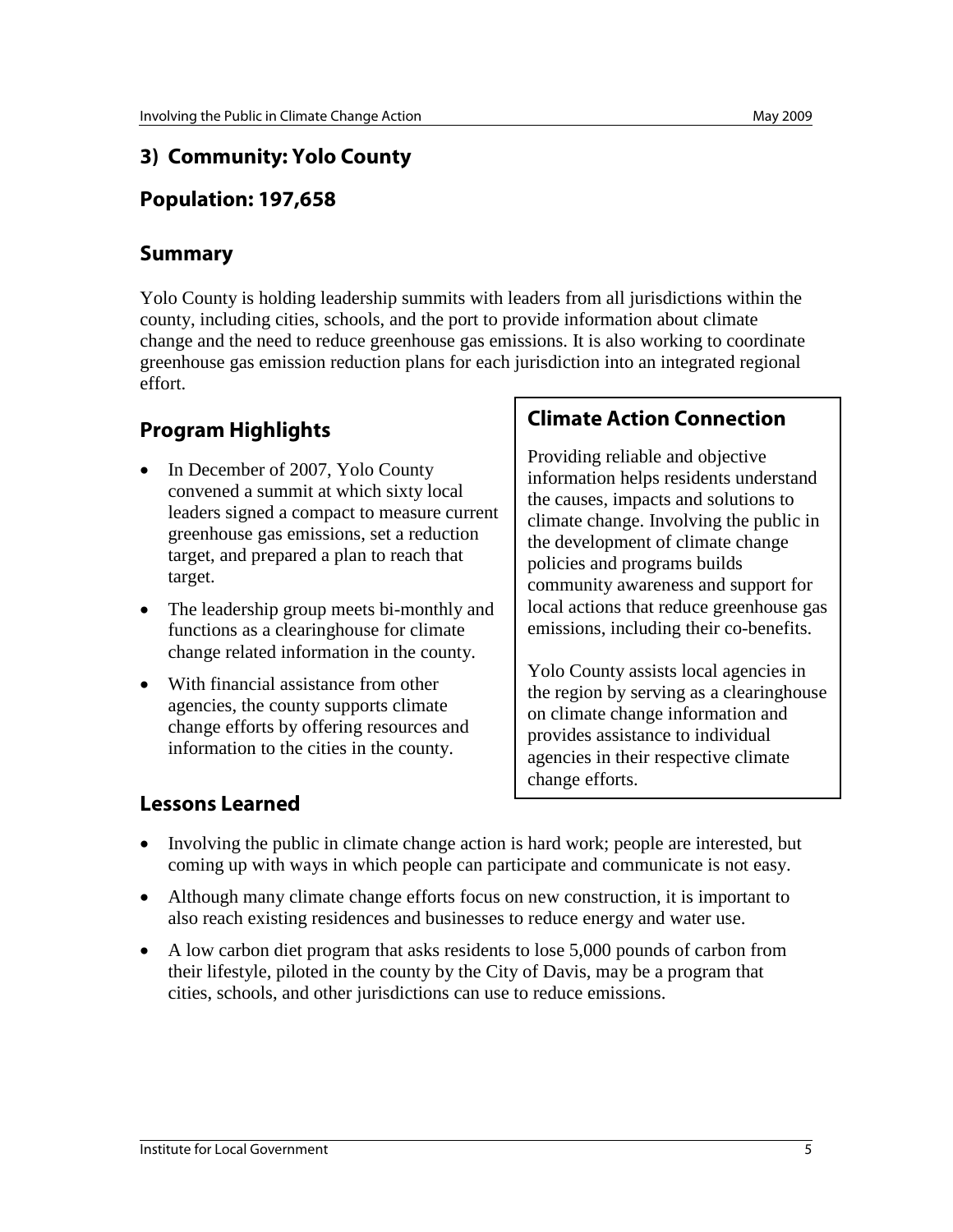## **3) Community: Yolo County**

# **Population: 197,658**

### **Summary**

Yolo County is holding leadership summits with leaders from all jurisdictions within the county, including cities, schools, and the port to provide information about climate change and the need to reduce greenhouse gas emissions. It is also working to coordinate greenhouse gas emission reduction plans for each jurisdiction into an integrated regional effort.

# **Program Highlights**

- In December of 2007, Yolo County convened a summit at which sixty local leaders signed a compact to measure current greenhouse gas emissions, set a reduction target, and prepared a plan to reach that target.
- The leadership group meets bi-monthly and functions as a clearinghouse for climate change related information in the county.
- With financial assistance from other agencies, the county supports climate change efforts by offering resources and information to the cities in the county.

### **Climate Action Connection**

Providing reliable and objective information helps residents understand the causes, impacts and solutions to climate change. Involving the public in the development of climate change policies and programs builds community awareness and support for local actions that reduce greenhouse gas emissions, including their co-benefits.

Yolo County assists local agencies in the region by serving as a clearinghouse on climate change information and provides assistance to individual agencies in their respective climate change efforts.

- Involving the public in climate change action is hard work; people are interested, but coming up with ways in which people can participate and communicate is not easy.
- Although many climate change efforts focus on new construction, it is important to also reach existing residences and businesses to reduce energy and water use.
- A low carbon diet program that asks residents to lose 5,000 pounds of carbon from their lifestyle, piloted in the county by the City of Davis, may be a program that cities, schools, and other jurisdictions can use to reduce emissions.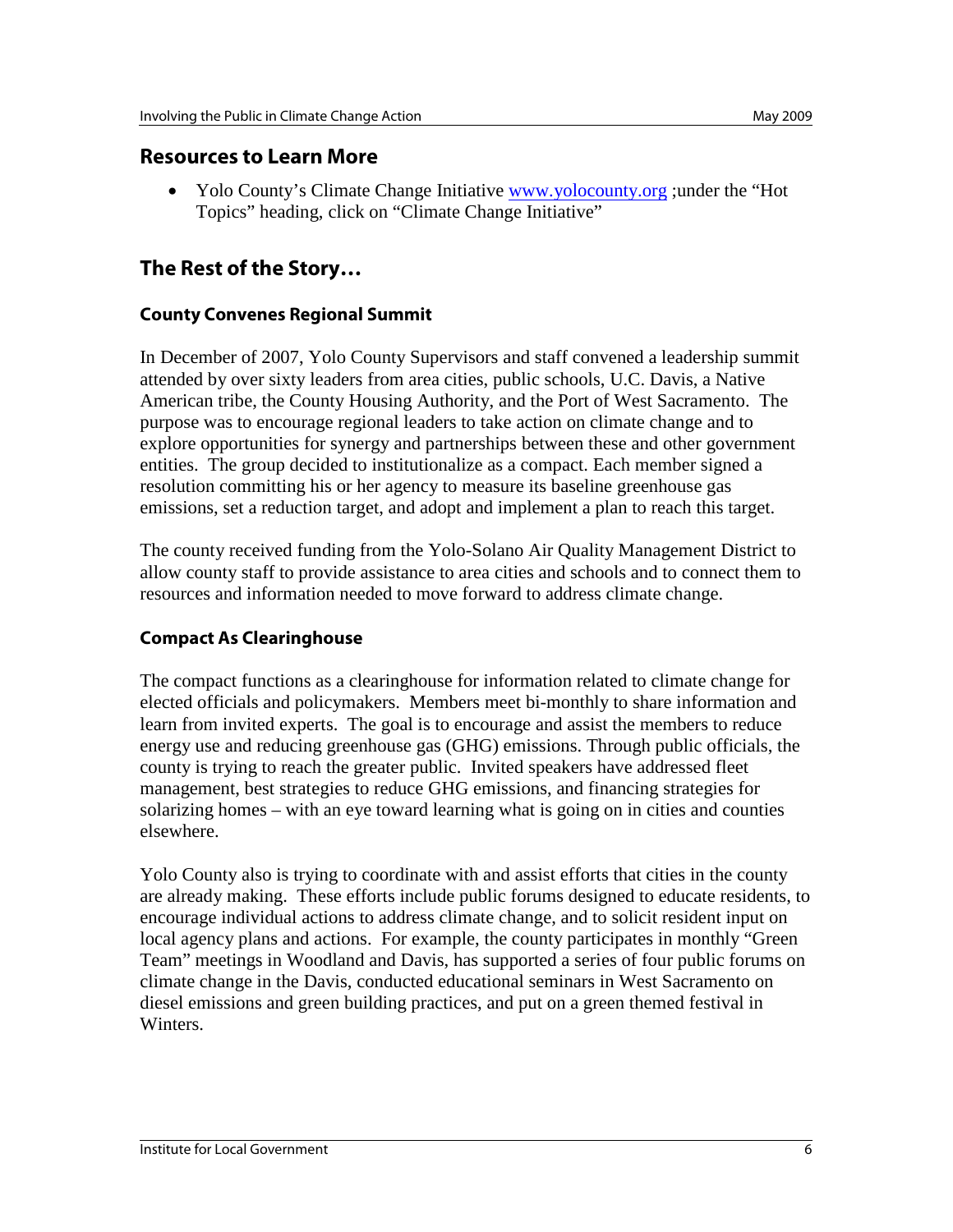#### **Resources to Learn More**

• Yolo County's Climate Change Initiative [www.yolocounty.org](http://www.yolocounty.org/) ;under the "Hot" Topics" heading, click on "Climate Change Initiative"

## **The Rest of the Story…**

#### **County Convenes Regional Summit**

In December of 2007, Yolo County Supervisors and staff convened a leadership summit attended by over sixty leaders from area cities, public schools, U.C. Davis, a Native American tribe, the County Housing Authority, and the Port of West Sacramento. The purpose was to encourage regional leaders to take action on climate change and to explore opportunities for synergy and partnerships between these and other government entities. The group decided to institutionalize as a compact. Each member signed a resolution committing his or her agency to measure its baseline greenhouse gas emissions, set a reduction target, and adopt and implement a plan to reach this target.

The county received funding from the Yolo-Solano Air Quality Management District to allow county staff to provide assistance to area cities and schools and to connect them to resources and information needed to move forward to address climate change.

#### **Compact As Clearinghouse**

The compact functions as a clearinghouse for information related to climate change for elected officials and policymakers. Members meet bi-monthly to share information and learn from invited experts. The goal is to encourage and assist the members to reduce energy use and reducing greenhouse gas (GHG) emissions. Through public officials, the county is trying to reach the greater public. Invited speakers have addressed fleet management, best strategies to reduce GHG emissions, and financing strategies for solarizing homes – with an eye toward learning what is going on in cities and counties elsewhere.

Yolo County also is trying to coordinate with and assist efforts that cities in the county are already making. These efforts include public forums designed to educate residents, to encourage individual actions to address climate change, and to solicit resident input on local agency plans and actions. For example, the county participates in monthly "Green Team" meetings in Woodland and Davis, has supported a series of four public forums on climate change in the Davis, conducted educational seminars in West Sacramento on diesel emissions and green building practices, and put on a green themed festival in Winters.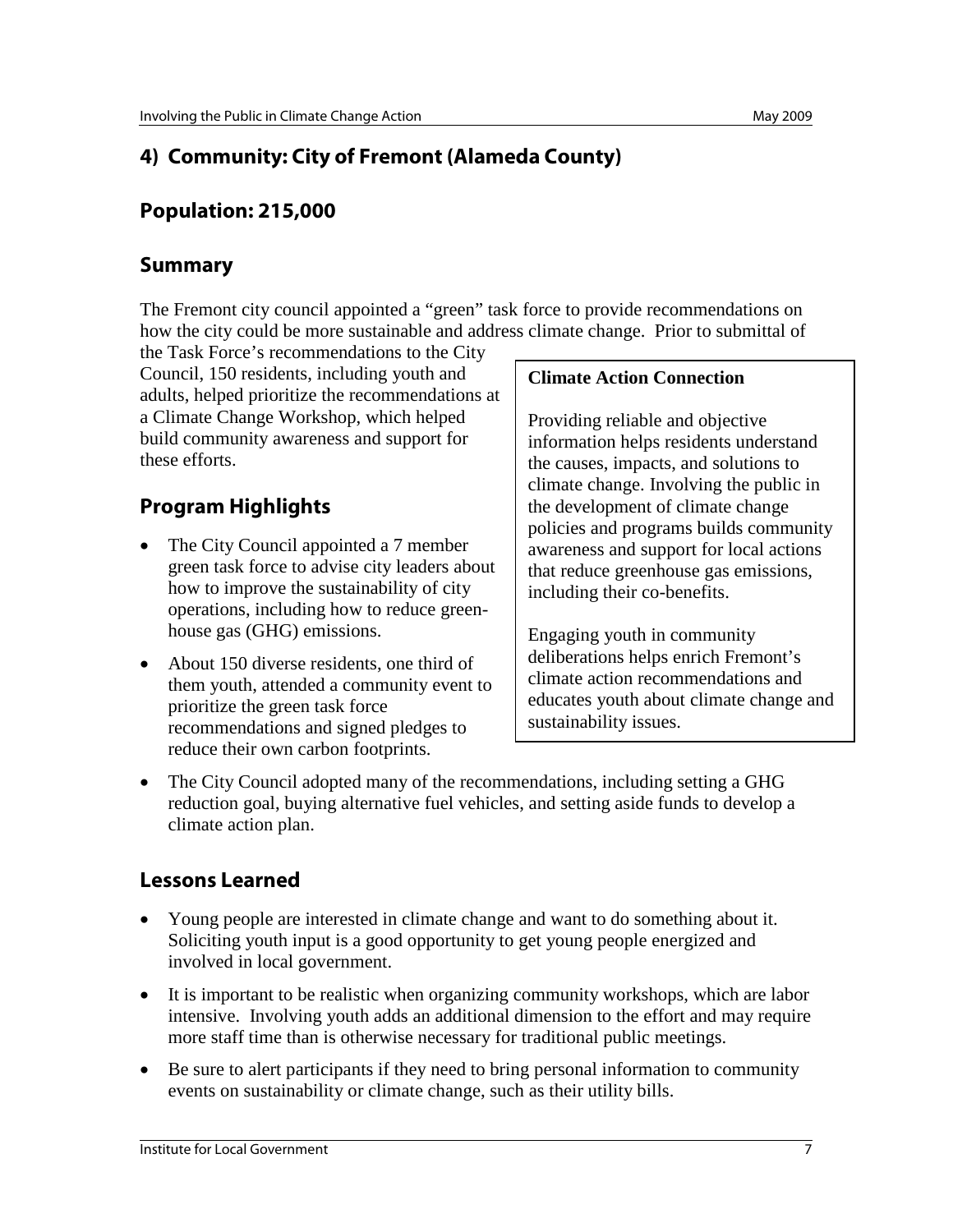# **4) Community: City of Fremont (Alameda County)**

### **Population: 215,000**

#### **Summary**

The Fremont city council appointed a "green" task force to provide recommendations on how the city could be more sustainable and address climate change. Prior to submittal of

the Task Force's recommendations to the City Council, 150 residents, including youth and adults, helped prioritize the recommendations at a Climate Change Workshop, which helped build community awareness and support for these efforts.

# **Program Highlights**

- The City Council appointed a 7 member green task force to advise city leaders about how to improve the sustainability of city operations, including how to reduce greenhouse gas (GHG) emissions.
- About 150 diverse residents, one third of them youth, attended a community event to prioritize the green task force recommendations and signed pledges to reduce their own carbon footprints.

#### **Climate Action Connection**

Providing reliable and objective information helps residents understand the causes, impacts, and solutions to climate change. Involving the public in the development of climate change policies and programs builds community awareness and support for local actions that reduce greenhouse gas emissions, including their co-benefits.

Engaging youth in community deliberations helps enrich Fremont's climate action recommendations and educates youth about climate change and sustainability issues.

• The City Council adopted many of the recommendations, including setting a GHG reduction goal, buying alternative fuel vehicles, and setting aside funds to develop a climate action plan.

- Young people are interested in climate change and want to do something about it. Soliciting youth input is a good opportunity to get young people energized and involved in local government.
- It is important to be realistic when organizing community workshops, which are labor intensive. Involving youth adds an additional dimension to the effort and may require more staff time than is otherwise necessary for traditional public meetings.
- Be sure to alert participants if they need to bring personal information to community events on sustainability or climate change, such as their utility bills.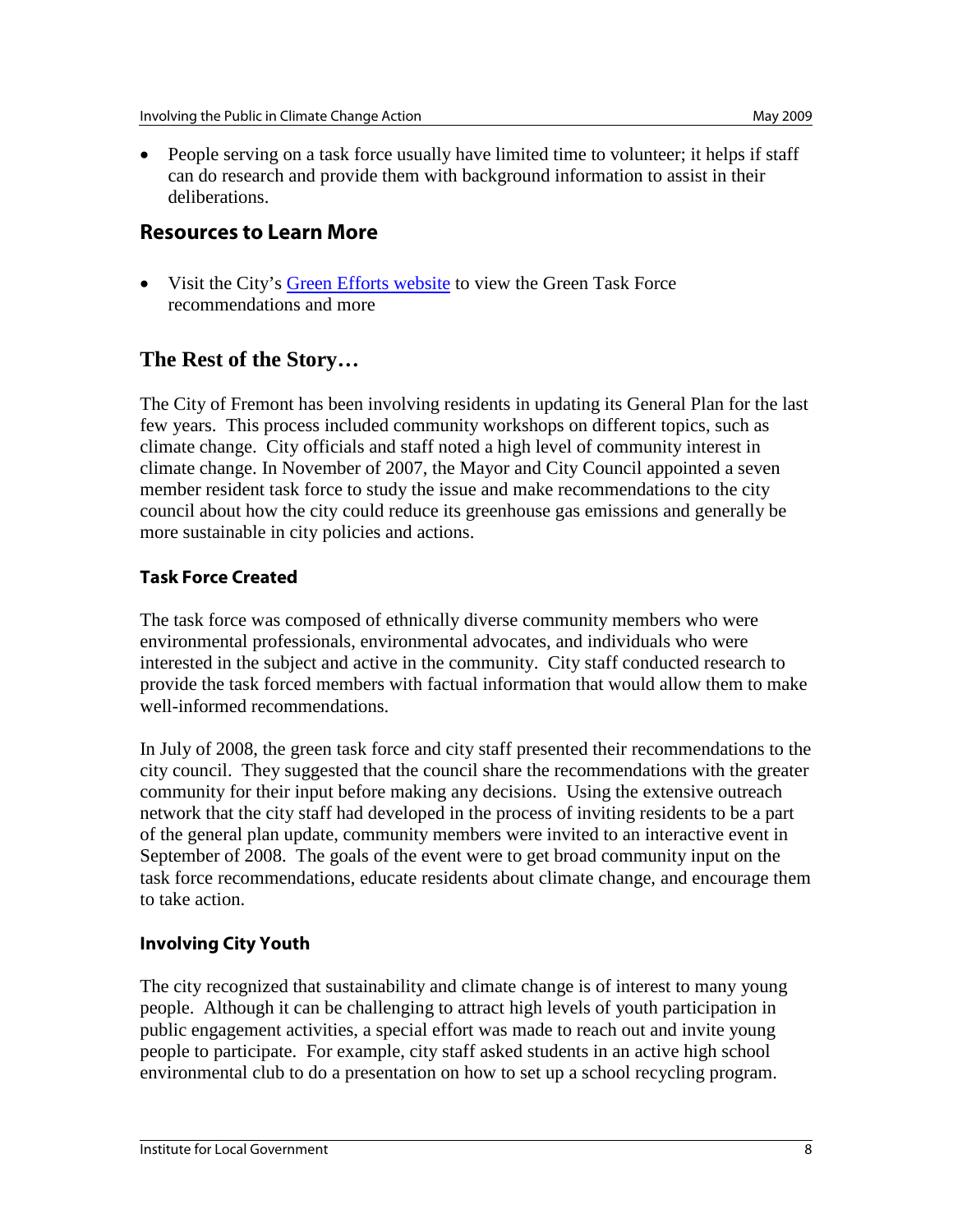• People serving on a task force usually have limited time to volunteer; it helps if staff can do research and provide them with background information to assist in their deliberations.

#### **Resources to Learn More**

• Visit the City's [Green Efforts website](http://www.fremont.gov/index.aspx?NID=432) to view the Green Task Force recommendations and more

### **The Rest of the Story…**

The City of Fremont has been involving residents in updating its General Plan for the last few years. This process included community workshops on different topics, such as climate change. City officials and staff noted a high level of community interest in climate change. In November of 2007, the Mayor and City Council appointed a seven member resident task force to study the issue and make recommendations to the city council about how the city could reduce its greenhouse gas emissions and generally be more sustainable in city policies and actions.

#### **Task Force Created**

The task force was composed of ethnically diverse community members who were environmental professionals, environmental advocates, and individuals who were interested in the subject and active in the community. City staff conducted research to provide the task forced members with factual information that would allow them to make well-informed recommendations.

In July of 2008, the green task force and city staff presented their recommendations to the city council. They suggested that the council share the recommendations with the greater community for their input before making any decisions. Using the extensive outreach network that the city staff had developed in the process of inviting residents to be a part of the general plan update, community members were invited to an interactive event in September of 2008. The goals of the event were to get broad community input on the task force recommendations, educate residents about climate change, and encourage them to take action.

#### **Involving City Youth**

The city recognized that sustainability and climate change is of interest to many young people. Although it can be challenging to attract high levels of youth participation in public engagement activities, a special effort was made to reach out and invite young people to participate. For example, city staff asked students in an active high school environmental club to do a presentation on how to set up a school recycling program.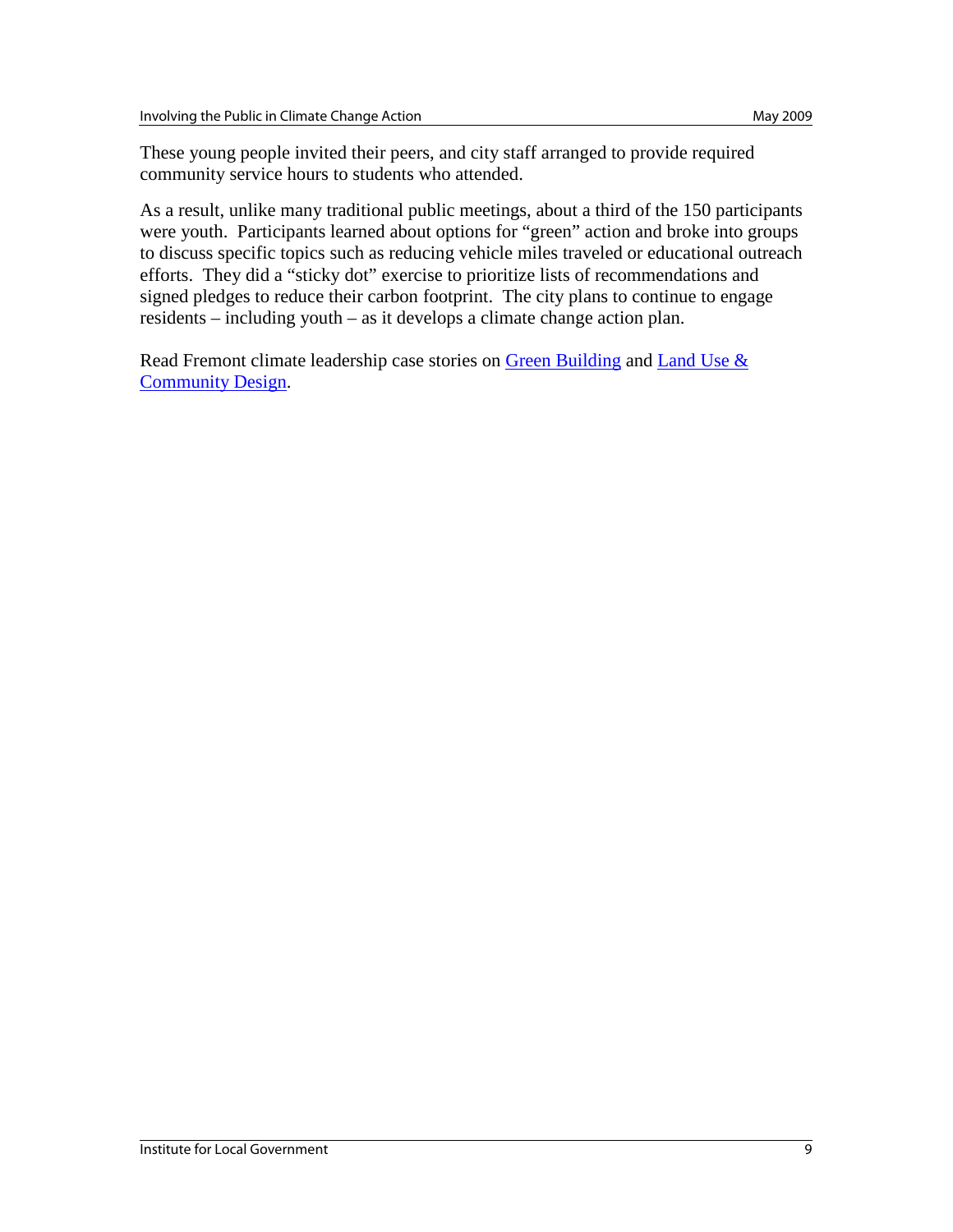These young people invited their peers, and city staff arranged to provide required community service hours to students who attended.

As a result, unlike many traditional public meetings, about a third of the 150 participants were youth. Participants learned about options for "green" action and broke into groups to discuss specific topics such as reducing vehicle miles traveled or educational outreach efforts. They did a "sticky dot" exercise to prioritize lists of recommendations and signed pledges to reduce their carbon footprint. The city plans to continue to engage residents – including youth – as it develops a climate change action plan.

Read Fremont climate leadership case stories on [Green Building](http://www.ca-ilg.org/node/1599) and Land Use & [Community Design.](http://www.ca-ilg.org/node/1610)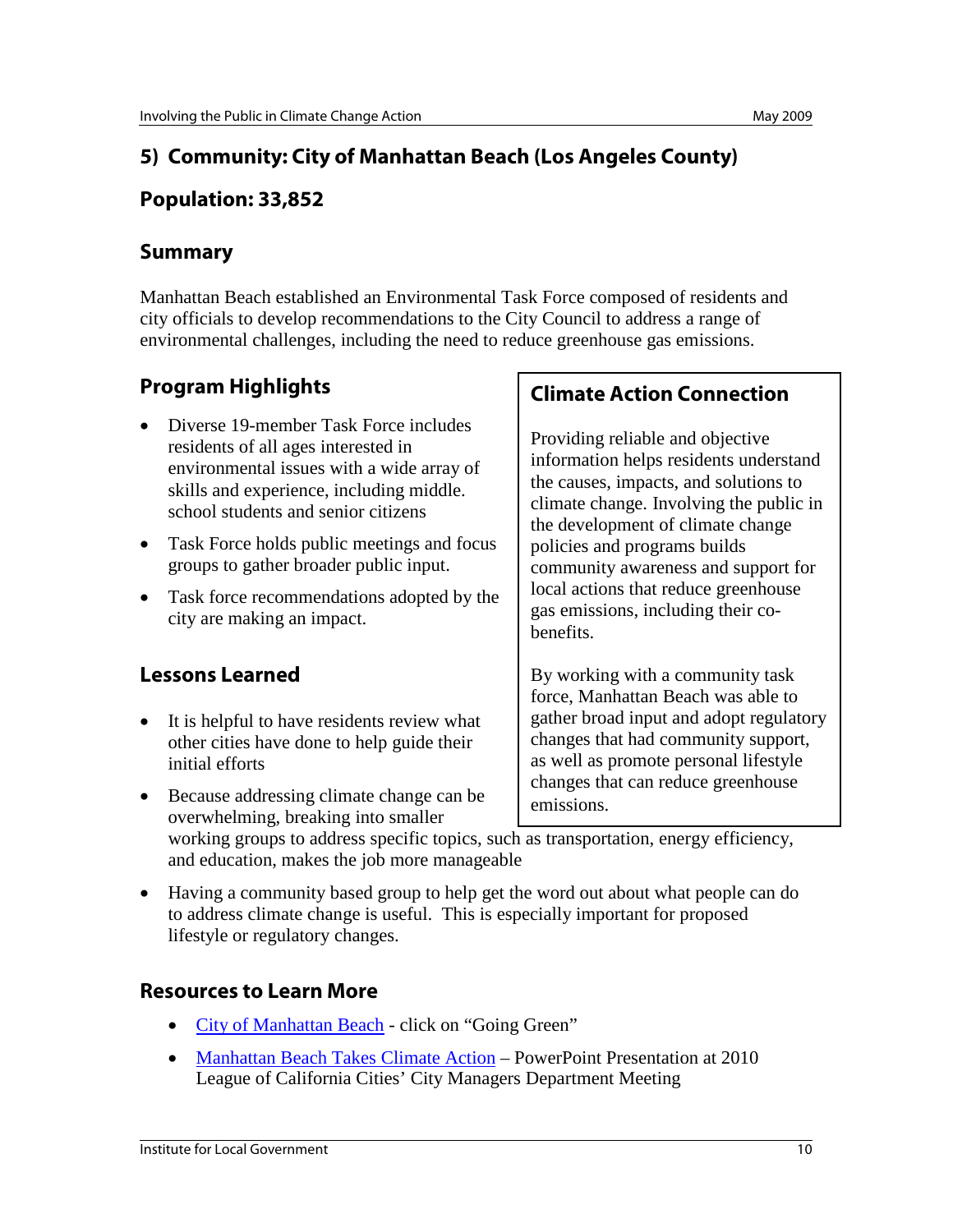# **5) Community: City of Manhattan Beach (Los Angeles County)**

#### **Population: 33,852**

#### **Summary**

Manhattan Beach established an Environmental Task Force composed of residents and city officials to develop recommendations to the City Council to address a range of environmental challenges, including the need to reduce greenhouse gas emissions.

# **Program Highlights**

- Diverse 19-member Task Force includes residents of all ages interested in environmental issues with a wide array of skills and experience, including middle. school students and senior citizens
- Task Force holds public meetings and focus groups to gather broader public input.
- Task force recommendations adopted by the city are making an impact.

# **Lessons Learned**

- It is helpful to have residents review what other cities have done to help guide their initial efforts
- Because addressing climate change can be overwhelming, breaking into smaller

## **Climate Action Connection**

Providing reliable and objective information helps residents understand the causes, impacts, and solutions to climate change. Involving the public in the development of climate change policies and programs builds community awareness and support for local actions that reduce greenhouse gas emissions, including their cobenefits.

By working with a community task force, Manhattan Beach was able to gather broad input and adopt regulatory changes that had community support, as well as promote personal lifestyle changes that can reduce greenhouse emissions.

working groups to address specific topics, such as transportation, energy efficiency, and education, makes the job more manageable

• Having a community based group to help get the word out about what people can do to address climate change is useful. This is especially important for proposed lifestyle or regulatory changes.

## **Resources to Learn More**

- [City of Manhattan Beach](http://www.citymb.info/) click on "Going Green"
- [Manhattan Beach Takes Climate Action](http://www.ca-ilg.org/node/2465) PowerPoint Presentation at 2010 League of California Cities' City Managers Department Meeting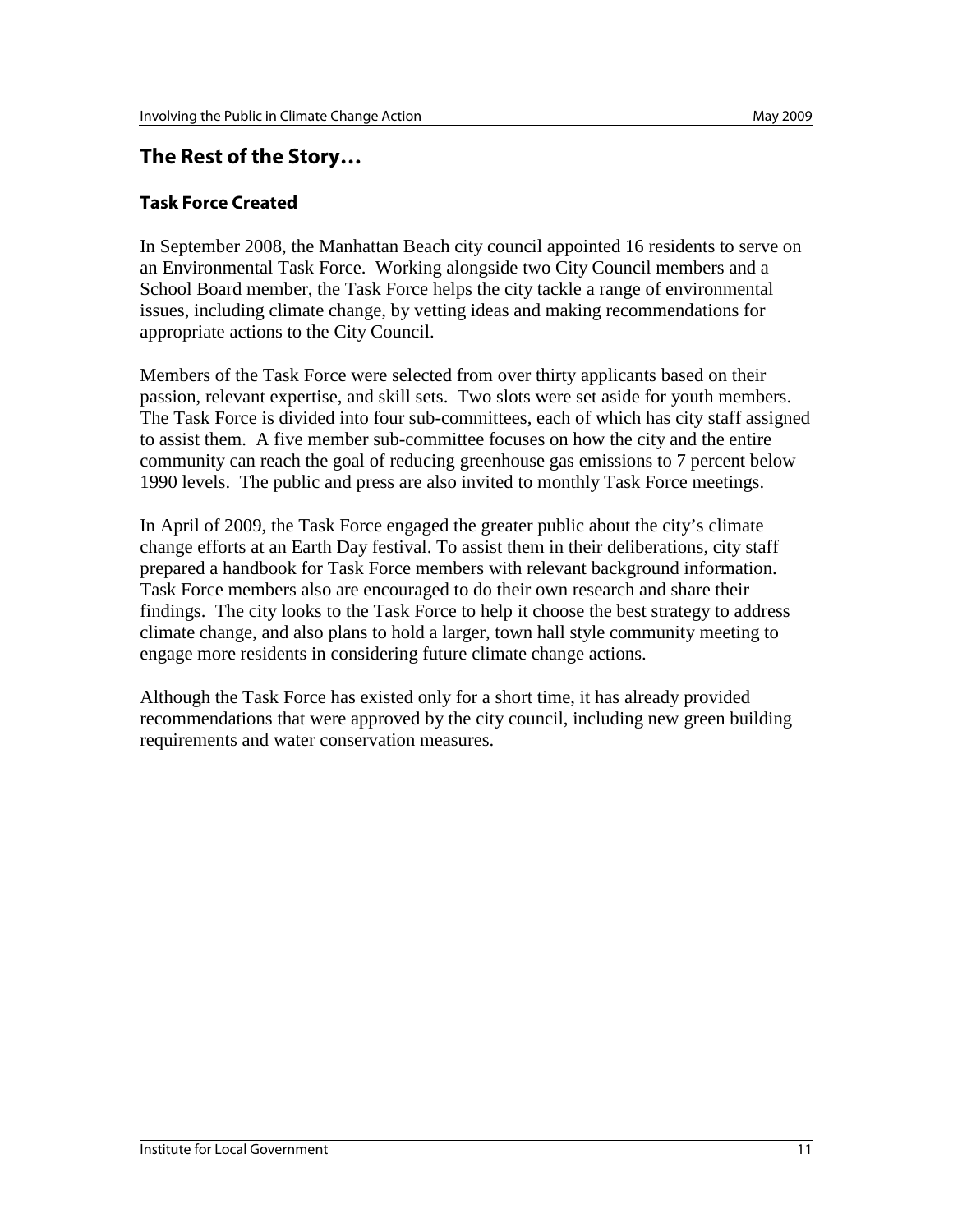### **The Rest of the Story…**

#### **Task Force Created**

In September 2008, the Manhattan Beach city council appointed 16 residents to serve on an Environmental Task Force. Working alongside two City Council members and a School Board member, the Task Force helps the city tackle a range of environmental issues, including climate change, by vetting ideas and making recommendations for appropriate actions to the City Council.

Members of the Task Force were selected from over thirty applicants based on their passion, relevant expertise, and skill sets. Two slots were set aside for youth members. The Task Force is divided into four sub-committees, each of which has city staff assigned to assist them. A five member sub-committee focuses on how the city and the entire community can reach the goal of reducing greenhouse gas emissions to 7 percent below 1990 levels. The public and press are also invited to monthly Task Force meetings.

In April of 2009, the Task Force engaged the greater public about the city's climate change efforts at an Earth Day festival. To assist them in their deliberations, city staff prepared a handbook for Task Force members with relevant background information. Task Force members also are encouraged to do their own research and share their findings. The city looks to the Task Force to help it choose the best strategy to address climate change, and also plans to hold a larger, town hall style community meeting to engage more residents in considering future climate change actions.

Although the Task Force has existed only for a short time, it has already provided recommendations that were approved by the city council, including new green building requirements and water conservation measures.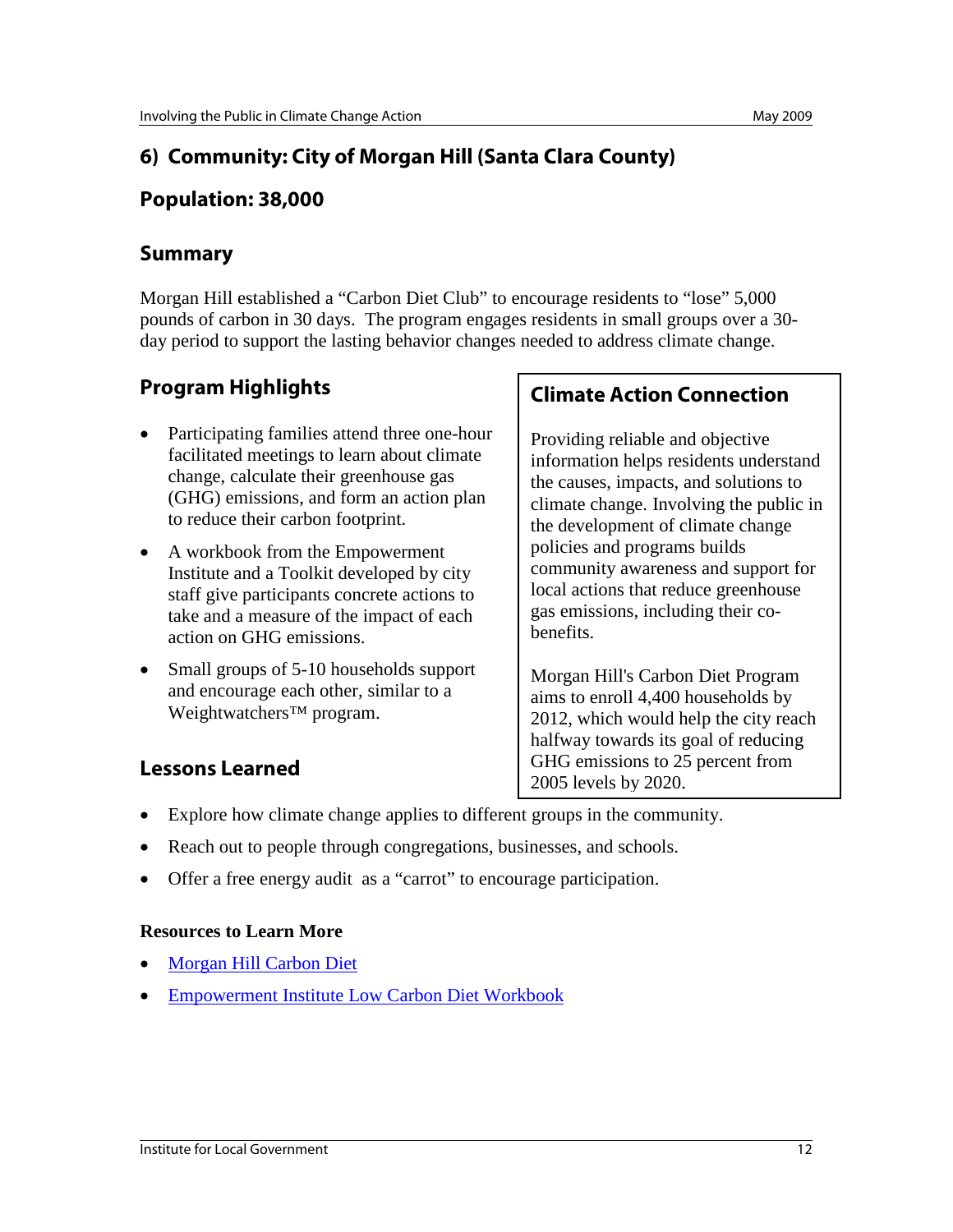# **6) Community: City of Morgan Hill (Santa Clara County)**

#### **Population: 38,000**

#### **Summary**

Morgan Hill established a "Carbon Diet Club" to encourage residents to "lose" 5,000 pounds of carbon in 30 days. The program engages residents in small groups over a 30 day period to support the lasting behavior changes needed to address climate change.

# **Program Highlights**

- Participating families attend three one-hour facilitated meetings to learn about climate change, calculate their greenhouse gas (GHG) emissions, and form an action plan to reduce their carbon footprint.
- A workbook from the Empowerment Institute and a Toolkit developed by city staff give participants concrete actions to take and a measure of the impact of each action on GHG emissions.
- Small groups of 5-10 households support and encourage each other, similar to a Weightwatchers™ program.

# **Lessons Learned**

## **Climate Action Connection**

Providing reliable and objective information helps residents understand the causes, impacts, and solutions to climate change. Involving the public in the development of climate change policies and programs builds community awareness and support for local actions that reduce greenhouse gas emissions, including their cobenefits.

Morgan Hill's Carbon Diet Program aims to enroll 4,400 households by 2012, which would help the city reach halfway towards its goal of reducing GHG emissions to 25 percent from 2005 levels by 2020.

- Explore how climate change applies to different groups in the community.
- Reach out to people through congregations, businesses, and schools.
- Offer a free energy audit as a "carrot" to encourage participation.

#### **Resources to Learn More**

- [Morgan Hill Carbon Diet](http://www.morgan-hill.ca.gov/index.asp?nid=93)
- [Empowerment Institute Low Carbon Diet Workbook](http://www.empowermentinstitute.net/lcd/index.html)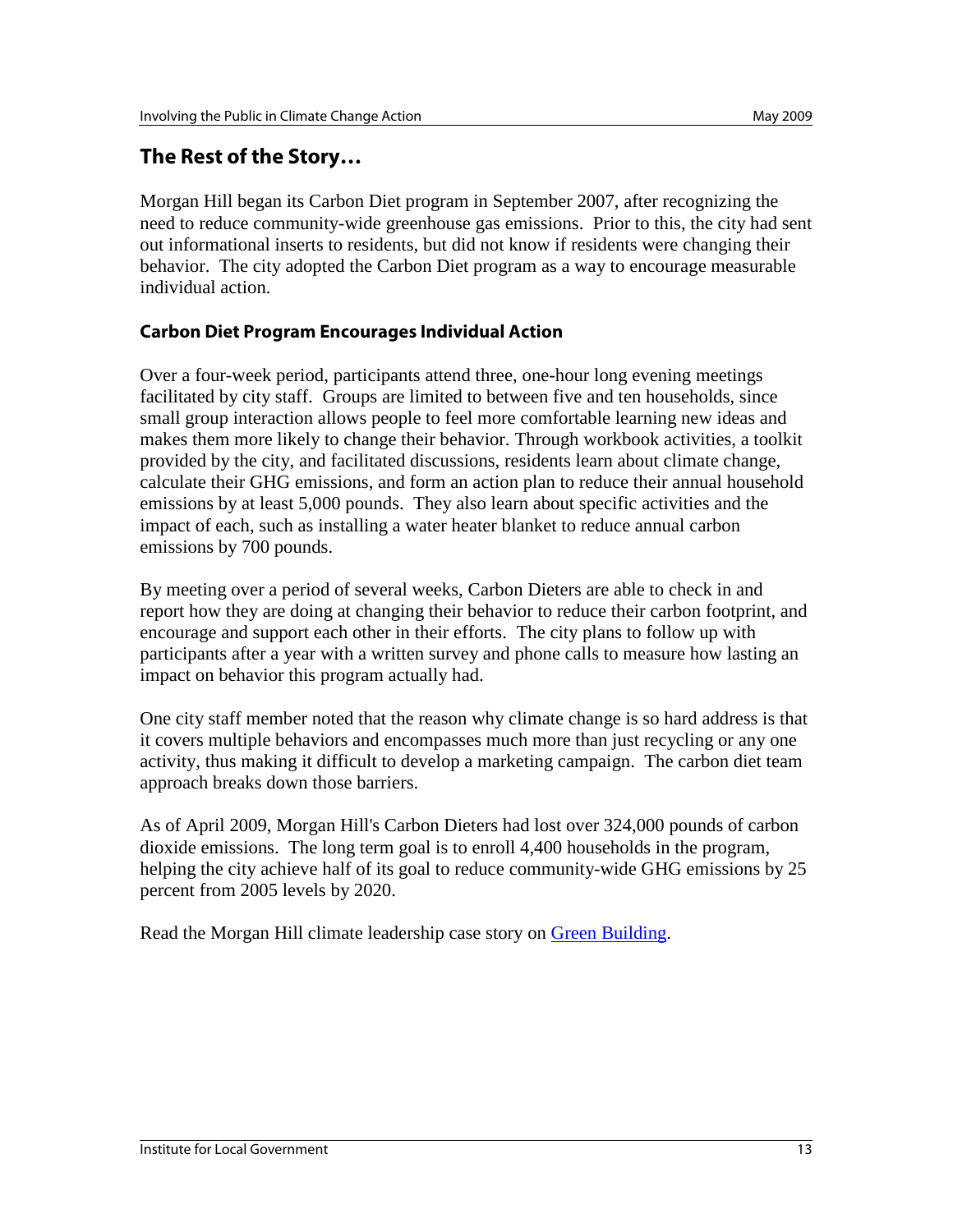### **The Rest of the Story…**

Morgan Hill began its Carbon Diet program in September 2007, after recognizing the need to reduce community-wide greenhouse gas emissions. Prior to this, the city had sent out informational inserts to residents, but did not know if residents were changing their behavior. The city adopted the Carbon Diet program as a way to encourage measurable individual action.

#### **Carbon Diet Program Encourages Individual Action**

Over a four-week period, participants attend three, one-hour long evening meetings facilitated by city staff. Groups are limited to between five and ten households, since small group interaction allows people to feel more comfortable learning new ideas and makes them more likely to change their behavior. Through workbook activities, a toolkit provided by the city, and facilitated discussions, residents learn about climate change, calculate their GHG emissions, and form an action plan to reduce their annual household emissions by at least 5,000 pounds. They also learn about specific activities and the impact of each, such as installing a water heater blanket to reduce annual carbon emissions by 700 pounds.

By meeting over a period of several weeks, Carbon Dieters are able to check in and report how they are doing at changing their behavior to reduce their carbon footprint, and encourage and support each other in their efforts. The city plans to follow up with participants after a year with a written survey and phone calls to measure how lasting an impact on behavior this program actually had.

One city staff member noted that the reason why climate change is so hard address is that it covers multiple behaviors and encompasses much more than just recycling or any one activity, thus making it difficult to develop a marketing campaign. The carbon diet team approach breaks down those barriers.

As of April 2009, Morgan Hill's Carbon Dieters had lost over 324,000 pounds of carbon dioxide emissions. The long term goal is to enroll 4,400 households in the program, helping the city achieve half of its goal to reduce community-wide GHG emissions by 25 percent from 2005 levels by 2020.

Read the Morgan Hill climate leadership case story on [Green Building.](http://www.ca-ilg.org/node/1601)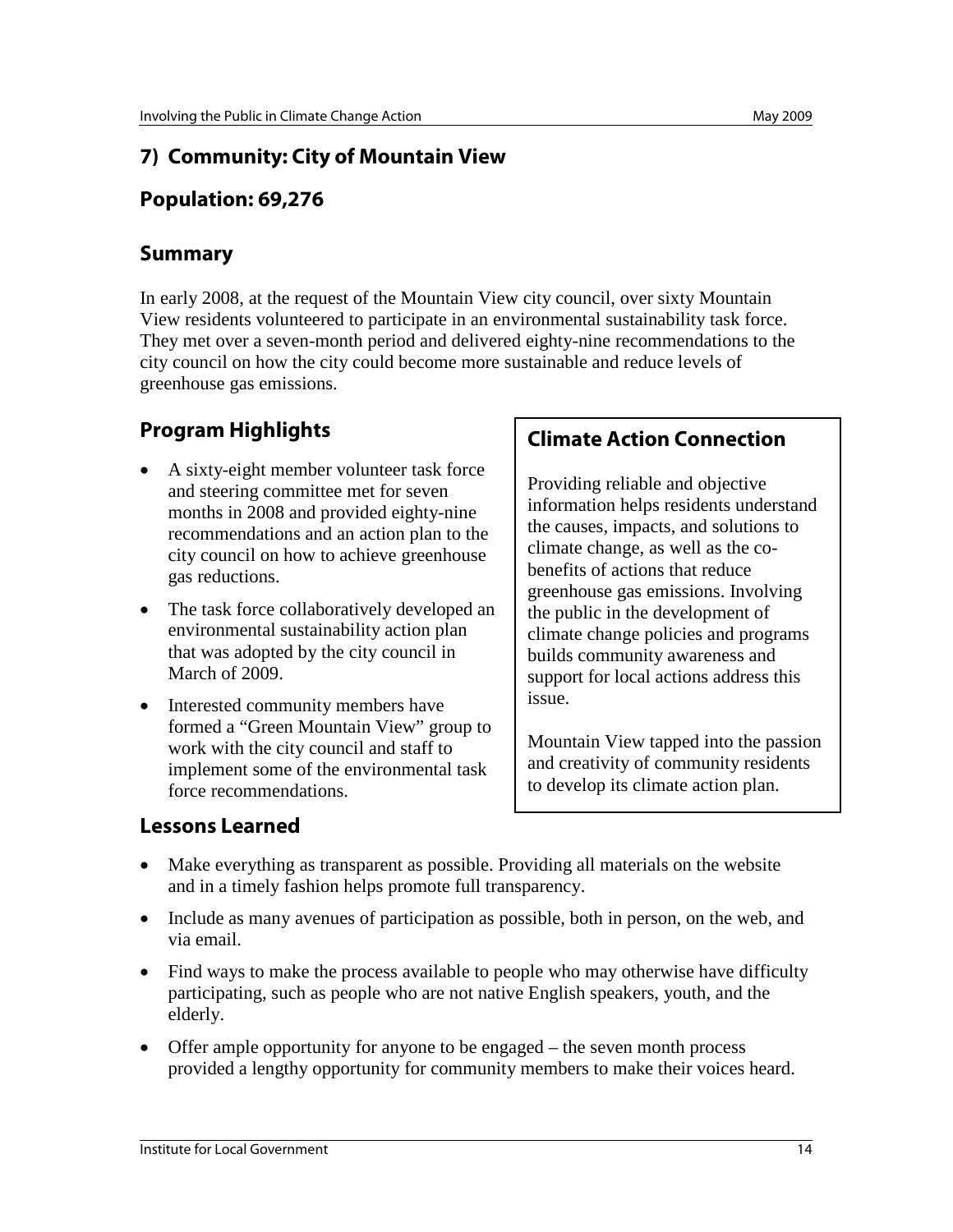## **7) Community: City of Mountain View**

### **Population: 69,276**

#### **Summary**

In early 2008, at the request of the Mountain View city council, over sixty Mountain View residents volunteered to participate in an environmental sustainability task force. They met over a seven-month period and delivered eighty-nine recommendations to the city council on how the city could become more sustainable and reduce levels of greenhouse gas emissions.

# **Program Highlights**

- A sixty-eight member volunteer task force and steering committee met for seven months in 2008 and provided eighty-nine recommendations and an action plan to the city council on how to achieve greenhouse gas reductions.
- The task force collaboratively developed an environmental sustainability action plan that was adopted by the city council in March of 2009.
- Interested community members have formed a "Green Mountain View" group to work with the city council and staff to implement some of the environmental task force recommendations.

#### **Climate Action Connection**

Providing reliable and objective information helps residents understand the causes, impacts, and solutions to climate change, as well as the cobenefits of actions that reduce greenhouse gas emissions. Involving the public in the development of climate change policies and programs builds community awareness and support for local actions address this issue.

Mountain View tapped into the passion and creativity of community residents to develop its climate action plan.

- Make everything as transparent as possible. Providing all materials on the website and in a timely fashion helps promote full transparency.
- Include as many avenues of participation as possible, both in person, on the web, and via email.
- Find ways to make the process available to people who may otherwise have difficulty participating, such as people who are not native English speakers, youth, and the elderly.
- Offer ample opportunity for anyone to be engaged the seven month process provided a lengthy opportunity for community members to make their voices heard.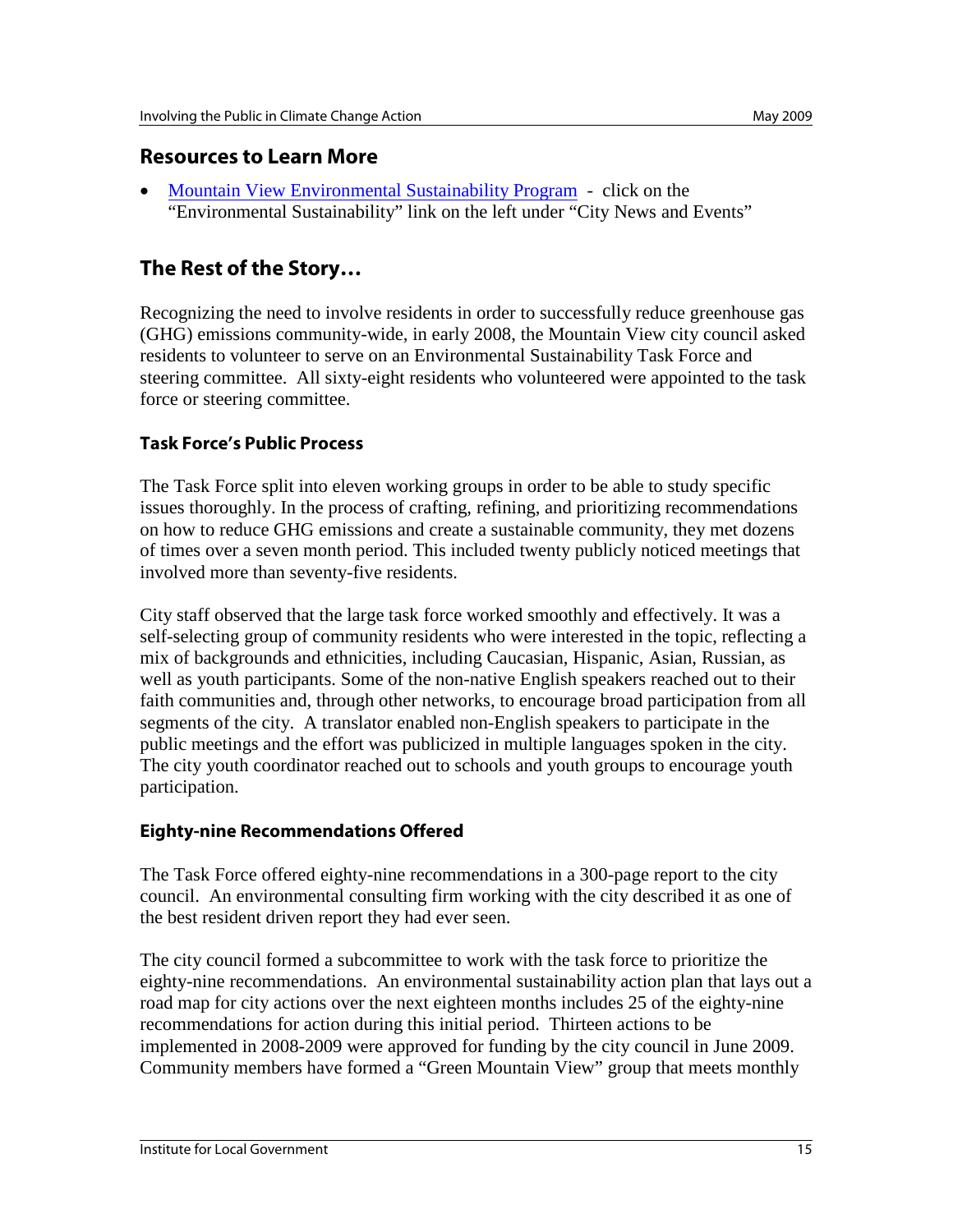#### **Resources to Learn More**

• Mountain View [Environmental Sustainability Program](http://www.mountainview.gov/) - click on the "Environmental Sustainability" link on the left under "City News and Events"

## **The Rest of the Story…**

Recognizing the need to involve residents in order to successfully reduce greenhouse gas (GHG) emissions community-wide, in early 2008, the Mountain View city council asked residents to volunteer to serve on an Environmental Sustainability Task Force and steering committee. All sixty-eight residents who volunteered were appointed to the task force or steering committee.

#### **Task Force's Public Process**

The Task Force split into eleven working groups in order to be able to study specific issues thoroughly. In the process of crafting, refining, and prioritizing recommendations on how to reduce GHG emissions and create a sustainable community, they met dozens of times over a seven month period. This included twenty publicly noticed meetings that involved more than seventy-five residents.

City staff observed that the large task force worked smoothly and effectively. It was a self-selecting group of community residents who were interested in the topic, reflecting a mix of backgrounds and ethnicities, including Caucasian, Hispanic, Asian, Russian, as well as youth participants. Some of the non-native English speakers reached out to their faith communities and, through other networks, to encourage broad participation from all segments of the city. A translator enabled non-English speakers to participate in the public meetings and the effort was publicized in multiple languages spoken in the city. The city youth coordinator reached out to schools and youth groups to encourage youth participation.

#### **Eighty-nine Recommendations Offered**

The Task Force offered eighty-nine recommendations in a 300-page report to the city council. An environmental consulting firm working with the city described it as one of the best resident driven report they had ever seen.

The city council formed a subcommittee to work with the task force to prioritize the eighty-nine recommendations. An environmental sustainability action plan that lays out a road map for city actions over the next eighteen months includes 25 of the eighty-nine recommendations for action during this initial period. Thirteen actions to be implemented in 2008-2009 were approved for funding by the city council in June 2009. Community members have formed a "Green Mountain View" group that meets monthly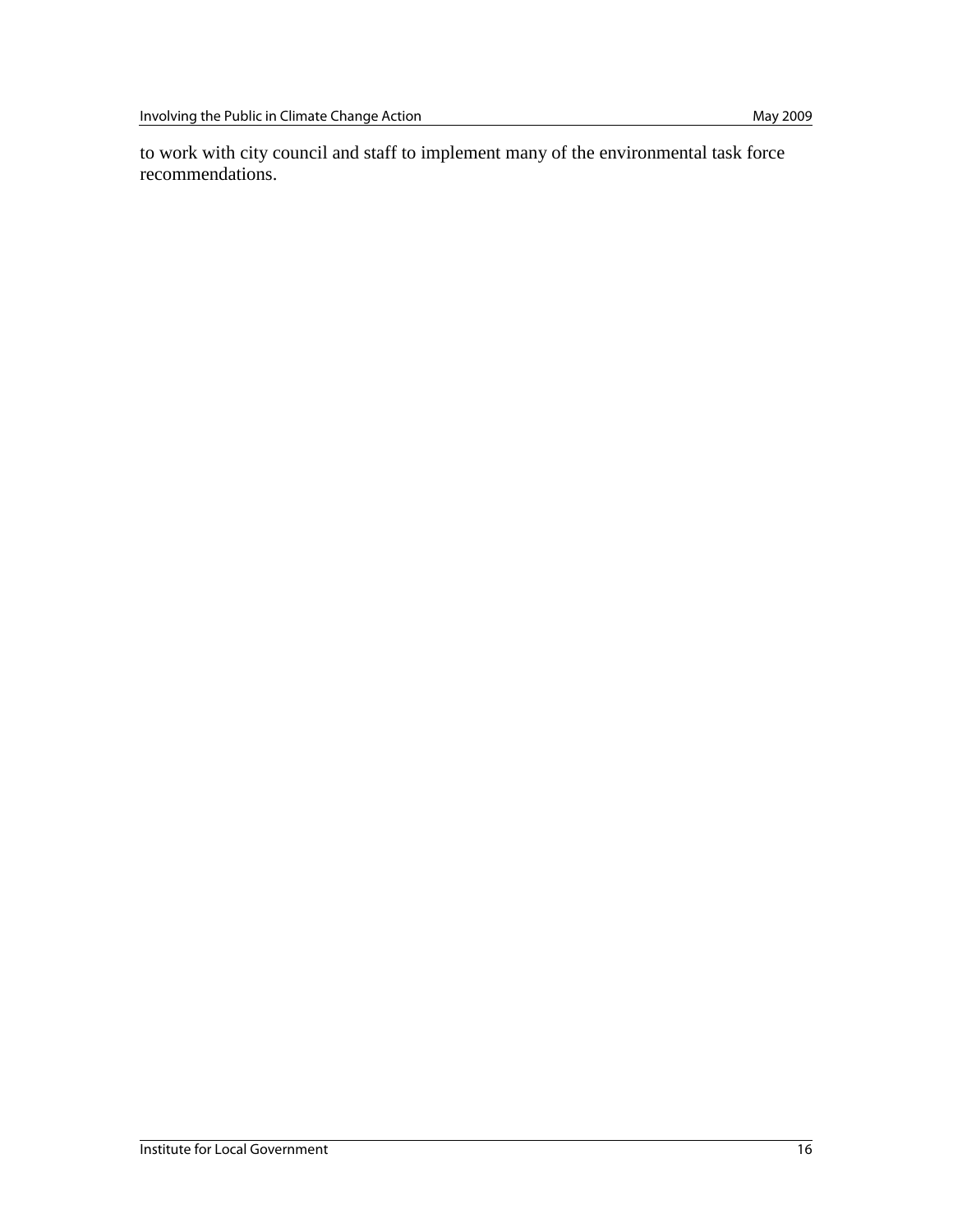to work with city council and staff to implement many of the environmental task force recommendations.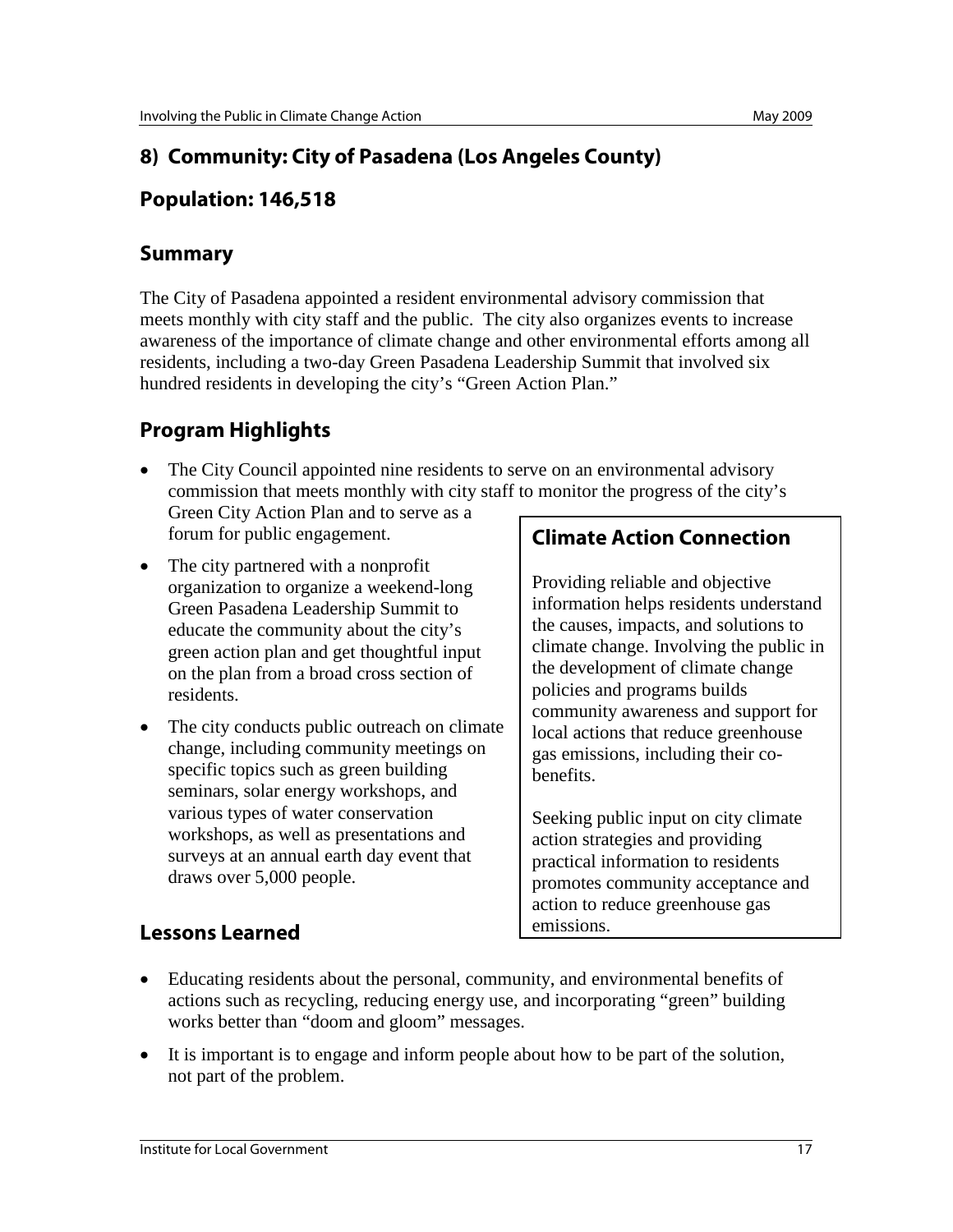# **8) Community: City of Pasadena (Los Angeles County)**

### **Population: 146,518**

#### **Summary**

The City of Pasadena appointed a resident environmental advisory commission that meets monthly with city staff and the public. The city also organizes events to increase awareness of the importance of climate change and other environmental efforts among all residents, including a two-day Green Pasadena Leadership Summit that involved six hundred residents in developing the city's "Green Action Plan."

# **Program Highlights**

- The City Council appointed nine residents to serve on an environmental advisory commission that meets monthly with city staff to monitor the progress of the city's Green City Action Plan and to serve as a forum for public engagement.
- The city partnered with a nonprofit organization to organize a weekend-long Green Pasadena Leadership Summit to educate the community about the city's green action plan and get thoughtful input on the plan from a broad cross section of residents.
- The city conducts public outreach on climate change, including community meetings on specific topics such as green building seminars, solar energy workshops, and various types of water conservation workshops, as well as presentations and surveys at an annual earth day event that draws over 5,000 people.

# **Climate Action Connection**

Providing reliable and objective information helps residents understand the causes, impacts, and solutions to climate change. Involving the public in the development of climate change policies and programs builds community awareness and support for local actions that reduce greenhouse gas emissions, including their cobenefits.

Seeking public input on city climate action strategies and providing practical information to residents promotes community acceptance and action to reduce greenhouse gas emissions.

- Educating residents about the personal, community, and environmental benefits of actions such as recycling, reducing energy use, and incorporating "green" building works better than "doom and gloom" messages.
- It is important is to engage and inform people about how to be part of the solution, not part of the problem.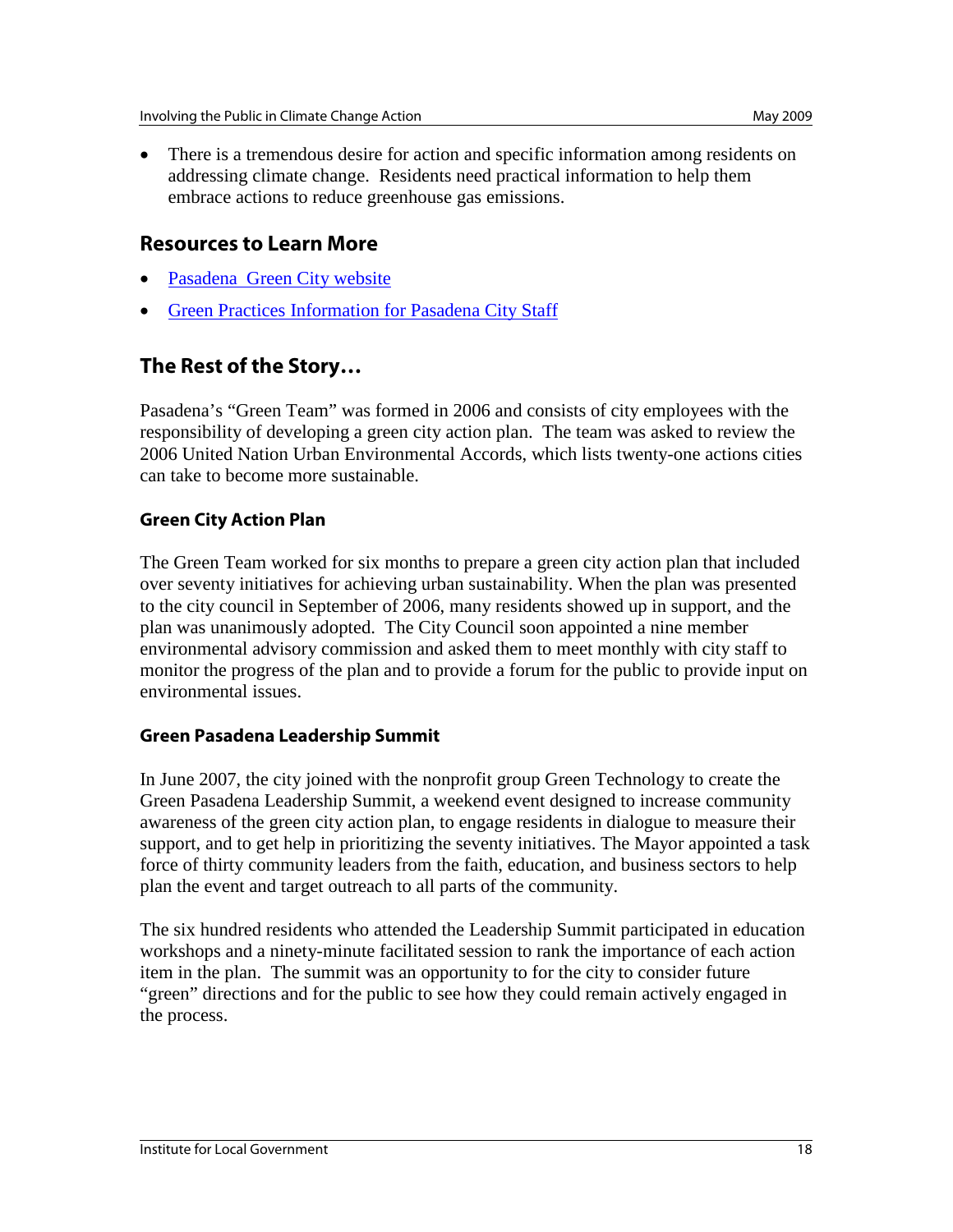• There is a tremendous desire for action and specific information among residents on addressing climate change. Residents need practical information to help them embrace actions to reduce greenhouse gas emissions.

#### **Resources to Learn More**

- [Pasadena Green City website](http://www.cityofpasadena.net/GreenCity)
- [Green Practices Information for Pasadena City Staff](http://www.thinkgreenpasadena.com/)

# **The Rest of the Story…**

Pasadena's "Green Team" was formed in 2006 and consists of city employees with the responsibility of developing a green city action plan. The team was asked to review the 2006 United Nation Urban Environmental Accords, which lists twenty-one actions cities can take to become more sustainable.

#### **Green City Action Plan**

The Green Team worked for six months to prepare a green city action plan that included over seventy initiatives for achieving urban sustainability. When the plan was presented to the city council in September of 2006, many residents showed up in support, and the plan was unanimously adopted. The City Council soon appointed a nine member environmental advisory commission and asked them to meet monthly with city staff to monitor the progress of the plan and to provide a forum for the public to provide input on environmental issues.

#### **Green Pasadena Leadership Summit**

In June 2007, the city joined with the nonprofit group Green Technology to create the Green Pasadena Leadership Summit, a weekend event designed to increase community awareness of the green city action plan, to engage residents in dialogue to measure their support, and to get help in prioritizing the seventy initiatives. The Mayor appointed a task force of thirty community leaders from the faith, education, and business sectors to help plan the event and target outreach to all parts of the community.

The six hundred residents who attended the Leadership Summit participated in education workshops and a ninety-minute facilitated session to rank the importance of each action item in the plan. The summit was an opportunity to for the city to consider future "green" directions and for the public to see how they could remain actively engaged in the process.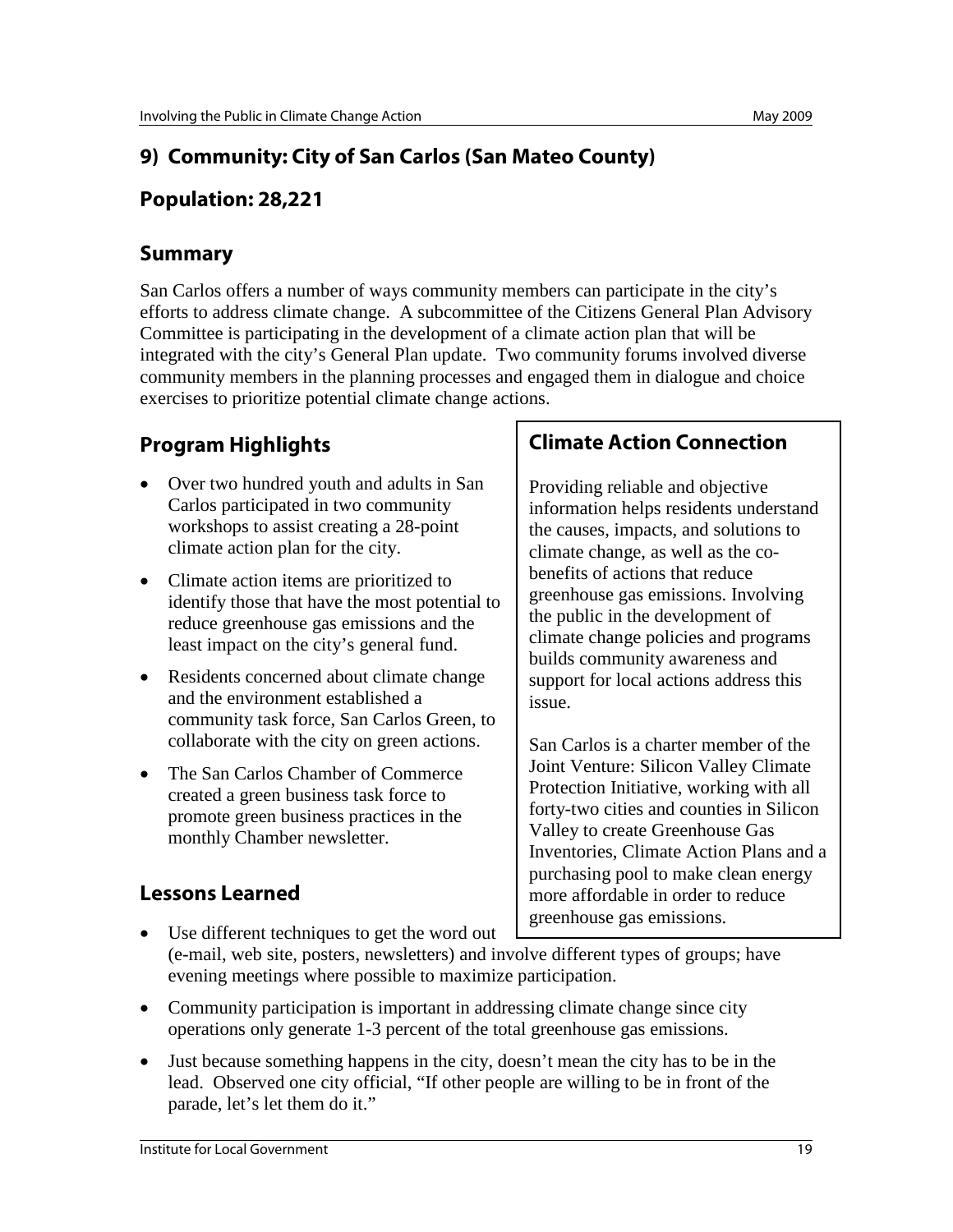# **9) Community: City of San Carlos (San Mateo County)**

## **Population: 28,221**

### **Summary**

San Carlos offers a number of ways community members can participate in the city's efforts to address climate change. A subcommittee of the Citizens General Plan Advisory Committee is participating in the development of a climate action plan that will be integrated with the city's General Plan update. Two community forums involved diverse community members in the planning processes and engaged them in dialogue and choice exercises to prioritize potential climate change actions.

# **Program Highlights**

- Over two hundred youth and adults in San Carlos participated in two community workshops to assist creating a 28-point climate action plan for the city.
- Climate action items are prioritized to identify those that have the most potential to reduce greenhouse gas emissions and the least impact on the city's general fund.
- Residents concerned about climate change and the environment established a community task force, San Carlos Green, to collaborate with the city on green actions.
- The San Carlos Chamber of Commerce created a green business task force to promote green business practices in the monthly Chamber newsletter.

## **Climate Action Connection**

Providing reliable and objective information helps residents understand the causes, impacts, and solutions to climate change, as well as the cobenefits of actions that reduce greenhouse gas emissions. Involving the public in the development of climate change policies and programs builds community awareness and support for local actions address this issue.

San Carlos is a charter member of the Joint Venture: Silicon Valley Climate Protection Initiative, working with all forty-two cities and counties in Silicon Valley to create Greenhouse Gas Inventories, Climate Action Plans and a purchasing pool to make clean energy more affordable in order to reduce greenhouse gas emissions.

- Use different techniques to get the word out (e-mail, web site, posters, newsletters) and involve different types of groups; have evening meetings where possible to maximize participation.
- Community participation is important in addressing climate change since city operations only generate 1-3 percent of the total greenhouse gas emissions.
- Just because something happens in the city, doesn't mean the city has to be in the lead. Observed one city official, "If other people are willing to be in front of the parade, let's let them do it."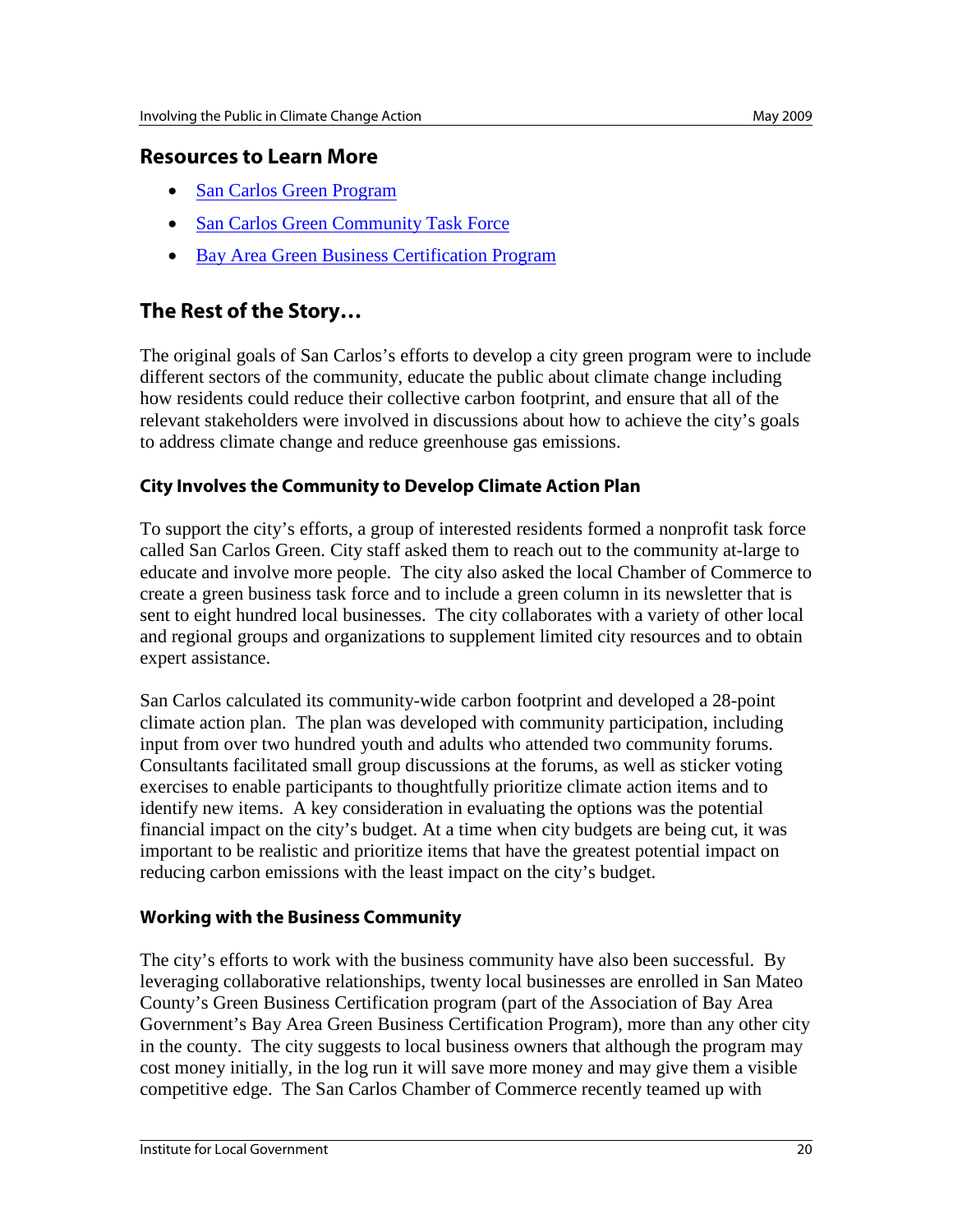#### **Resources to Learn More**

- [San Carlos Green Program](http://cityofsancarlos.org/gov/depts/cm/green_programs_n_climate_protection/default.asp)
- [San Carlos Green Community Task Force](http://www.sancarlosgreen.org/)
- [Bay Area Green Business Certification Program](http://www.greenbiz.ca.gov/)

## **The Rest of the Story…**

The original goals of San Carlos's efforts to develop a city green program were to include different sectors of the community, educate the public about climate change including how residents could reduce their collective carbon footprint, and ensure that all of the relevant stakeholders were involved in discussions about how to achieve the city's goals to address climate change and reduce greenhouse gas emissions.

#### **City Involves the Community to Develop Climate Action Plan**

To support the city's efforts, a group of interested residents formed a nonprofit task force called San Carlos Green. City staff asked them to reach out to the community at-large to educate and involve more people. The city also asked the local Chamber of Commerce to create a green business task force and to include a green column in its newsletter that is sent to eight hundred local businesses. The city collaborates with a variety of other local and regional groups and organizations to supplement limited city resources and to obtain expert assistance.

San Carlos calculated its community-wide carbon footprint and developed a 28-point climate action plan. The plan was developed with community participation, including input from over two hundred youth and adults who attended two community forums. Consultants facilitated small group discussions at the forums, as well as sticker voting exercises to enable participants to thoughtfully prioritize climate action items and to identify new items. A key consideration in evaluating the options was the potential financial impact on the city's budget. At a time when city budgets are being cut, it was important to be realistic and prioritize items that have the greatest potential impact on reducing carbon emissions with the least impact on the city's budget.

#### **Working with the Business Community**

The city's efforts to work with the business community have also been successful. By leveraging collaborative relationships, twenty local businesses are enrolled in San Mateo County's Green Business Certification program (part of the Association of Bay Area Government's Bay Area Green Business Certification Program), more than any other city in the county. The city suggests to local business owners that although the program may cost money initially, in the log run it will save more money and may give them a visible competitive edge. The San Carlos Chamber of Commerce recently teamed up with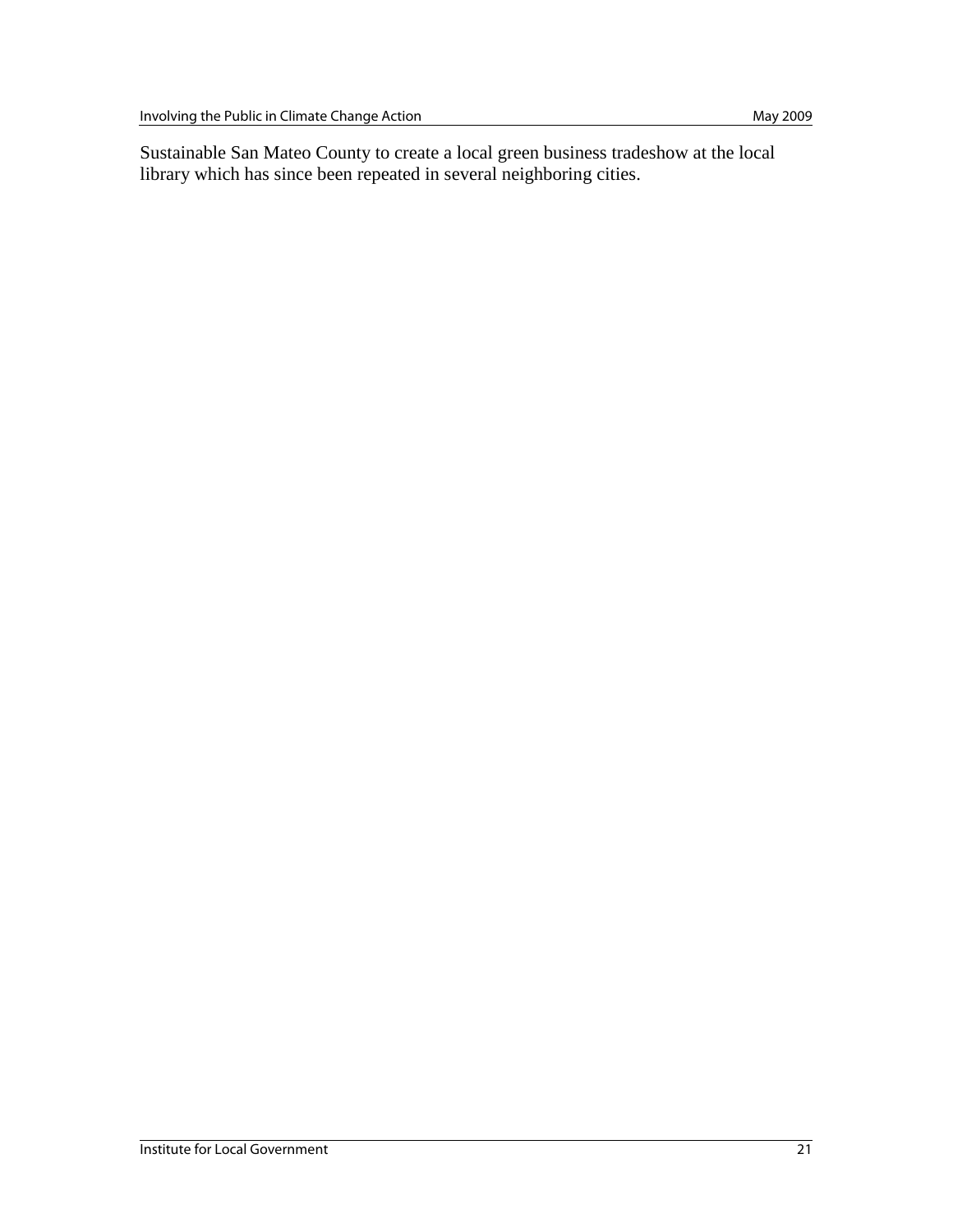Sustainable San Mateo County to create a local green business tradeshow at the local library which has since been repeated in several neighboring cities.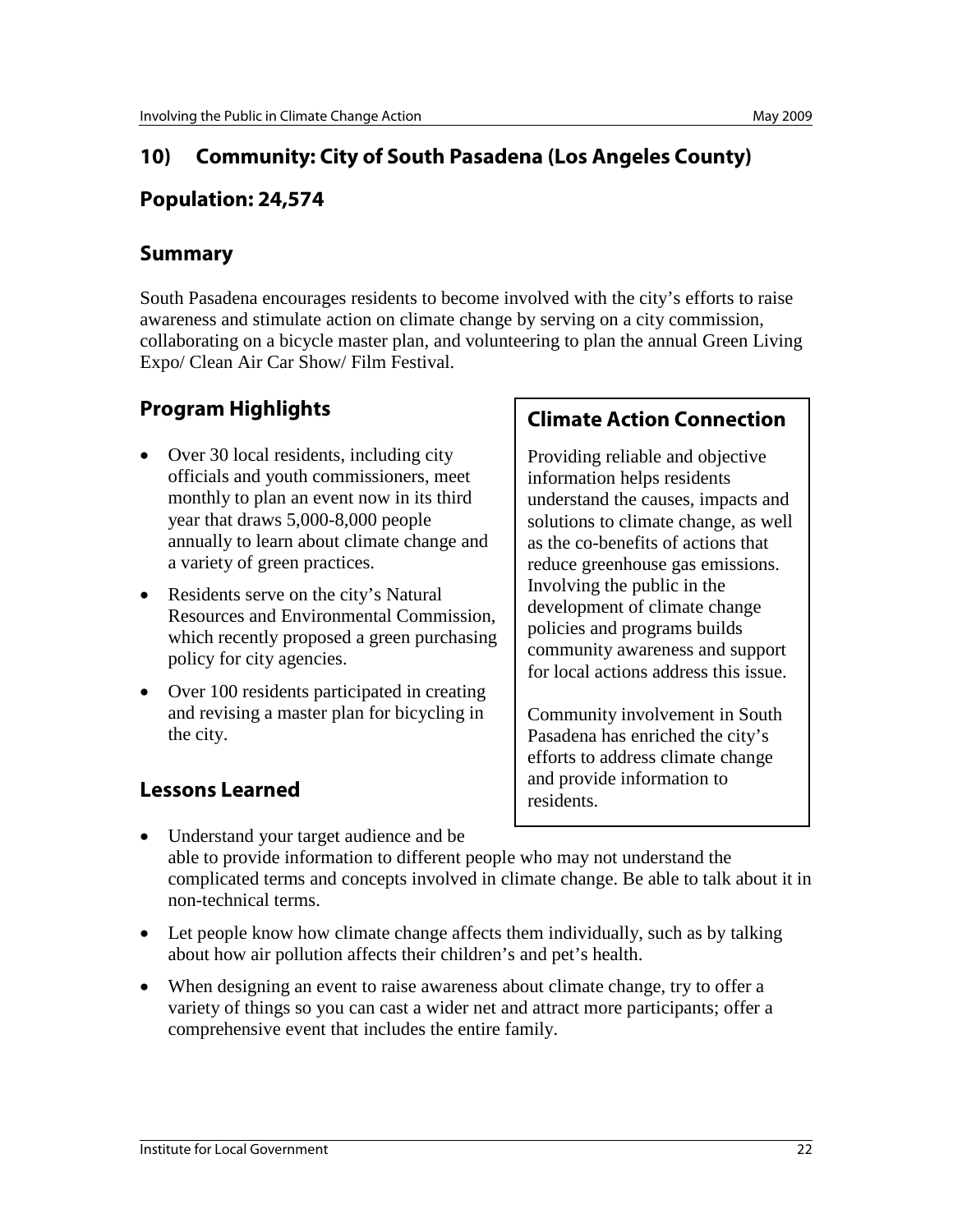# **10) Community: City of South Pasadena (Los Angeles County)**

### **Population: 24,574**

#### **Summary**

South Pasadena encourages residents to become involved with the city's efforts to raise awareness and stimulate action on climate change by serving on a city commission, collaborating on a bicycle master plan, and volunteering to plan the annual Green Living Expo/ Clean Air Car Show/ Film Festival.

# **Program Highlights**

- Over 30 local residents, including city officials and youth commissioners, meet monthly to plan an event now in its third year that draws 5,000-8,000 people annually to learn about climate change and a variety of green practices.
- Residents serve on the city's Natural Resources and Environmental Commission, which recently proposed a green purchasing policy for city agencies.
- Over 100 residents participated in creating and revising a master plan for bicycling in the city.

# **Lessons Learned**

# **Climate Action Connection**

Providing reliable and objective information helps residents understand the causes, impacts and solutions to climate change, as well as the co-benefits of actions that reduce greenhouse gas emissions. Involving the public in the development of climate change policies and programs builds community awareness and support for local actions address this issue.

Community involvement in South Pasadena has enriched the city's efforts to address climate change and provide information to residents.

- Understand your target audience and be able to provide information to different people who may not understand the complicated terms and concepts involved in climate change. Be able to talk about it in non-technical terms.
- Let people know how climate change affects them individually, such as by talking about how air pollution affects their children's and pet's health.
- When designing an event to raise awareness about climate change, try to offer a variety of things so you can cast a wider net and attract more participants; offer a comprehensive event that includes the entire family.